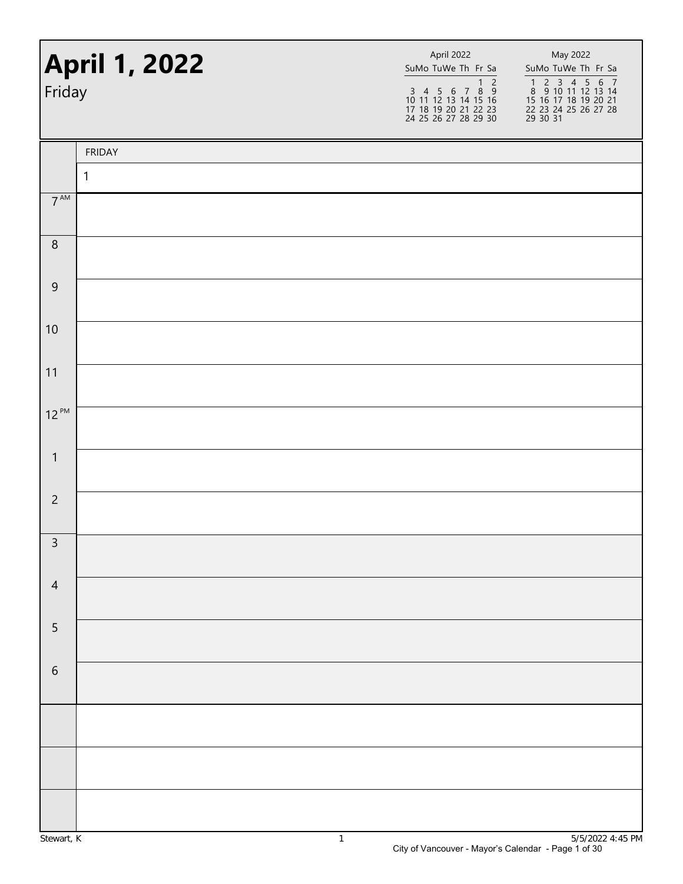| <b>April 1, 2022</b><br>Friday |               | April 2022<br>SuMo TuWe Th Fr Sa<br>$1\overline{2}$<br>$\begin{array}{cccccc}\n3 & 4 & 5 & 6 & 7 & 8 & 9 \\ 10 & 11 & 12 & 13 & 14 & 15 & 16\n\end{array}$<br>17 18 19 20 21 22 23<br>24 25 26 27 28 29 30 | May 2022<br>SuMo TuWe Th Fr Sa<br>1 2 3 4 5 6 7<br>8 9 10 11 12 13 14<br>15 16 17 18 19 20 21<br>22 23 24 25 26 27 28<br>29 30 31 |
|--------------------------------|---------------|------------------------------------------------------------------------------------------------------------------------------------------------------------------------------------------------------------|-----------------------------------------------------------------------------------------------------------------------------------|
|                                | <b>FRIDAY</b> |                                                                                                                                                                                                            |                                                                                                                                   |
|                                | 1             |                                                                                                                                                                                                            |                                                                                                                                   |
| $7^{\text{AM}}$                |               |                                                                                                                                                                                                            |                                                                                                                                   |
| $\, 8$                         |               |                                                                                                                                                                                                            |                                                                                                                                   |
| $\boldsymbol{9}$               |               |                                                                                                                                                                                                            |                                                                                                                                   |
| 10                             |               |                                                                                                                                                                                                            |                                                                                                                                   |
| 11                             |               |                                                                                                                                                                                                            |                                                                                                                                   |
| $12^{PM}$                      |               |                                                                                                                                                                                                            |                                                                                                                                   |
| $\mathbf{1}$                   |               |                                                                                                                                                                                                            |                                                                                                                                   |
| $\overline{c}$                 |               |                                                                                                                                                                                                            |                                                                                                                                   |
| $\mathbf{R}$                   |               |                                                                                                                                                                                                            |                                                                                                                                   |
| $\overline{4}$                 |               |                                                                                                                                                                                                            |                                                                                                                                   |
| $\overline{5}$                 |               |                                                                                                                                                                                                            |                                                                                                                                   |
| $\sqrt{6}$                     |               |                                                                                                                                                                                                            |                                                                                                                                   |
|                                |               |                                                                                                                                                                                                            |                                                                                                                                   |
|                                |               |                                                                                                                                                                                                            |                                                                                                                                   |
|                                |               |                                                                                                                                                                                                            |                                                                                                                                   |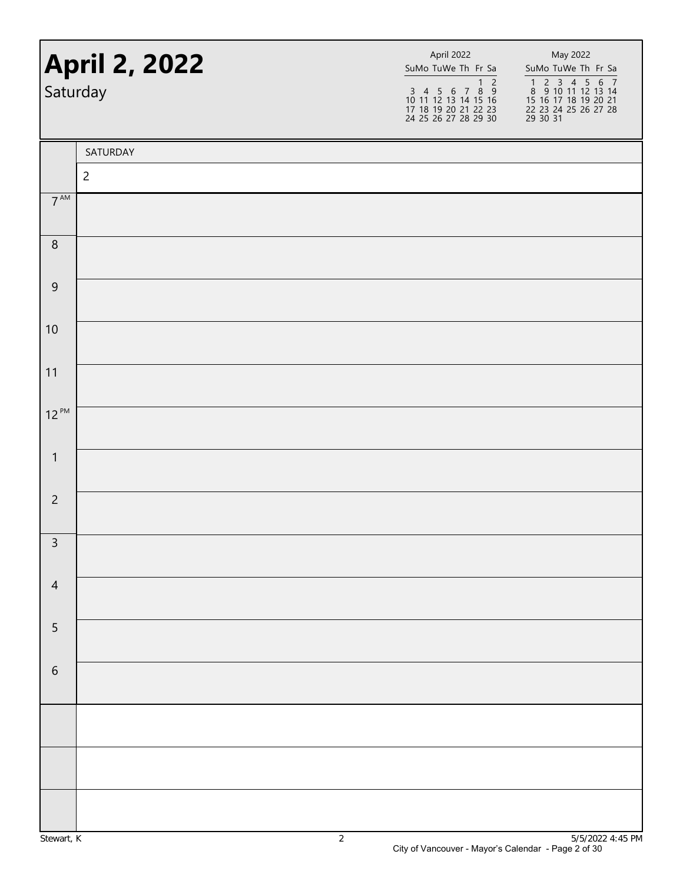| <b>April 2, 2022</b><br>Saturday |                | April 2022<br>SuMo TuWe Th Fr Sa<br>$\begin{array}{@{}c@{\hspace{1em}}c@{\hspace{1em}}c@{\hspace{1em}}c@{\hspace{1em}}c@{\hspace{1em}}c@{\hspace{1em}}c@{\hspace{1em}}c@{\hspace{1em}}c@{\hspace{1em}}c@{\hspace{1em}}c@{\hspace{1em}}c@{\hspace{1em}}c@{\hspace{1em}}c@{\hspace{1em}}c@{\hspace{1em}}c@{\hspace{1em}}c@{\hspace{1em}}c@{\hspace{1em}}c@{\hspace{1em}}c@{\hspace{1em}}c@{\hspace{1em}}c@{\hspace{1em}}c@{\hspace{1em}}c@{\hspace{$<br>17 18 19 20 21 22 23<br>24 25 26 27 28 29 30 | May 2022<br>SuMo TuWe Th Fr Sa<br>1 2 3 4 5 6 7<br>8 9 10 11 12 13 14<br>15 16 17 18 19 20 21<br>22 23 24 25 26 27 28<br>$\overline{29}$ 30 31 |
|----------------------------------|----------------|----------------------------------------------------------------------------------------------------------------------------------------------------------------------------------------------------------------------------------------------------------------------------------------------------------------------------------------------------------------------------------------------------------------------------------------------------------------------------------------------------|------------------------------------------------------------------------------------------------------------------------------------------------|
|                                  | SATURDAY       |                                                                                                                                                                                                                                                                                                                                                                                                                                                                                                    |                                                                                                                                                |
|                                  | $\overline{c}$ |                                                                                                                                                                                                                                                                                                                                                                                                                                                                                                    |                                                                                                                                                |
| $7^{\text{AM}}$                  |                |                                                                                                                                                                                                                                                                                                                                                                                                                                                                                                    |                                                                                                                                                |
| $\, 8$                           |                |                                                                                                                                                                                                                                                                                                                                                                                                                                                                                                    |                                                                                                                                                |
| $\boldsymbol{9}$                 |                |                                                                                                                                                                                                                                                                                                                                                                                                                                                                                                    |                                                                                                                                                |
| 10                               |                |                                                                                                                                                                                                                                                                                                                                                                                                                                                                                                    |                                                                                                                                                |
| 11                               |                |                                                                                                                                                                                                                                                                                                                                                                                                                                                                                                    |                                                                                                                                                |
| $12^{PM}$                        |                |                                                                                                                                                                                                                                                                                                                                                                                                                                                                                                    |                                                                                                                                                |
| $\mathbf{1}$                     |                |                                                                                                                                                                                                                                                                                                                                                                                                                                                                                                    |                                                                                                                                                |
| $\overline{c}$                   |                |                                                                                                                                                                                                                                                                                                                                                                                                                                                                                                    |                                                                                                                                                |
| $\overline{3}$                   |                |                                                                                                                                                                                                                                                                                                                                                                                                                                                                                                    |                                                                                                                                                |
| $\overline{4}$                   |                |                                                                                                                                                                                                                                                                                                                                                                                                                                                                                                    |                                                                                                                                                |
| 5                                |                |                                                                                                                                                                                                                                                                                                                                                                                                                                                                                                    |                                                                                                                                                |
| $\,$ 6 $\,$                      |                |                                                                                                                                                                                                                                                                                                                                                                                                                                                                                                    |                                                                                                                                                |
|                                  |                |                                                                                                                                                                                                                                                                                                                                                                                                                                                                                                    |                                                                                                                                                |
|                                  |                |                                                                                                                                                                                                                                                                                                                                                                                                                                                                                                    |                                                                                                                                                |
|                                  |                |                                                                                                                                                                                                                                                                                                                                                                                                                                                                                                    |                                                                                                                                                |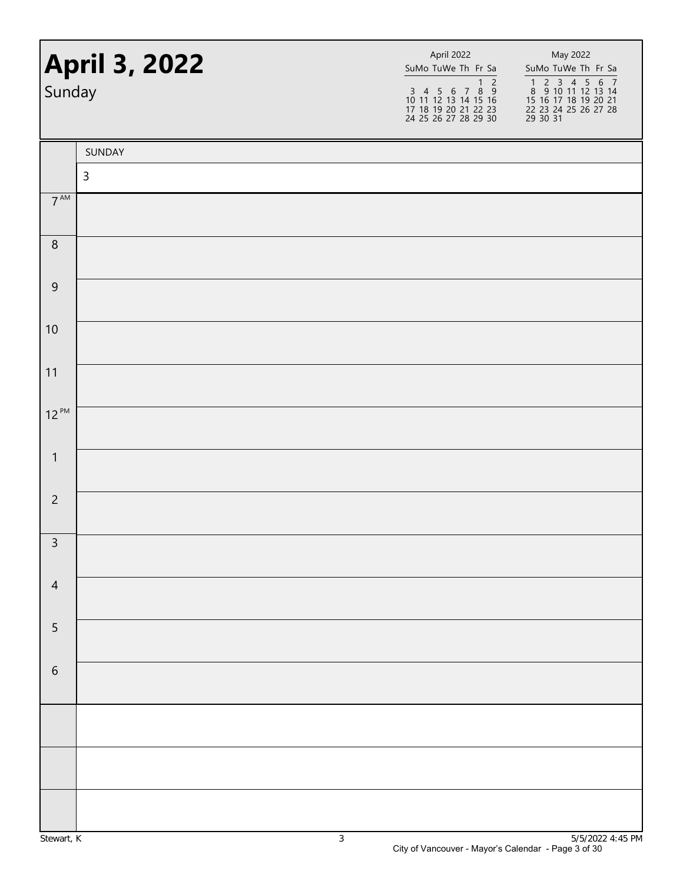| <b>April 3, 2022</b><br>Sunday |              | April 2022<br>SuMo TuWe Th Fr Sa<br>$\overline{1}$ 2<br>$\begin{array}{cccccc}\n3 & 4 & 5 & 6 & 7 & 8 & 9 \\ 10 & 11 & 12 & 13 & 14 & 15 & 16\n\end{array}$<br>17 18 19 20 21 22 23<br>24 25 26 27 28 29 30 | May 2022<br>SuMo TuWe Th Fr Sa<br>1 2 3 4 5 6 7<br>8 9 10 11 12 13 14<br>15 16 17 18 19 20 21<br>22 23 24 25 26 27 28<br>29 30 31 |
|--------------------------------|--------------|-------------------------------------------------------------------------------------------------------------------------------------------------------------------------------------------------------------|-----------------------------------------------------------------------------------------------------------------------------------|
|                                | SUNDAY       |                                                                                                                                                                                                             |                                                                                                                                   |
|                                | $\mathsf{3}$ |                                                                                                                                                                                                             |                                                                                                                                   |
| $7^{\text{AM}}$                |              |                                                                                                                                                                                                             |                                                                                                                                   |
| $\, 8$                         |              |                                                                                                                                                                                                             |                                                                                                                                   |
| $\boldsymbol{9}$               |              |                                                                                                                                                                                                             |                                                                                                                                   |
| 10                             |              |                                                                                                                                                                                                             |                                                                                                                                   |
| 11                             |              |                                                                                                                                                                                                             |                                                                                                                                   |
| $12^{PM}$                      |              |                                                                                                                                                                                                             |                                                                                                                                   |
| $\mathbf{1}$                   |              |                                                                                                                                                                                                             |                                                                                                                                   |
| $\overline{c}$                 |              |                                                                                                                                                                                                             |                                                                                                                                   |
| $\overline{3}$                 |              |                                                                                                                                                                                                             |                                                                                                                                   |
| $\overline{4}$                 |              |                                                                                                                                                                                                             |                                                                                                                                   |
| $\overline{5}$                 |              |                                                                                                                                                                                                             |                                                                                                                                   |
| $\,$ 6 $\,$                    |              |                                                                                                                                                                                                             |                                                                                                                                   |
|                                |              |                                                                                                                                                                                                             |                                                                                                                                   |
|                                |              |                                                                                                                                                                                                             |                                                                                                                                   |
|                                |              |                                                                                                                                                                                                             |                                                                                                                                   |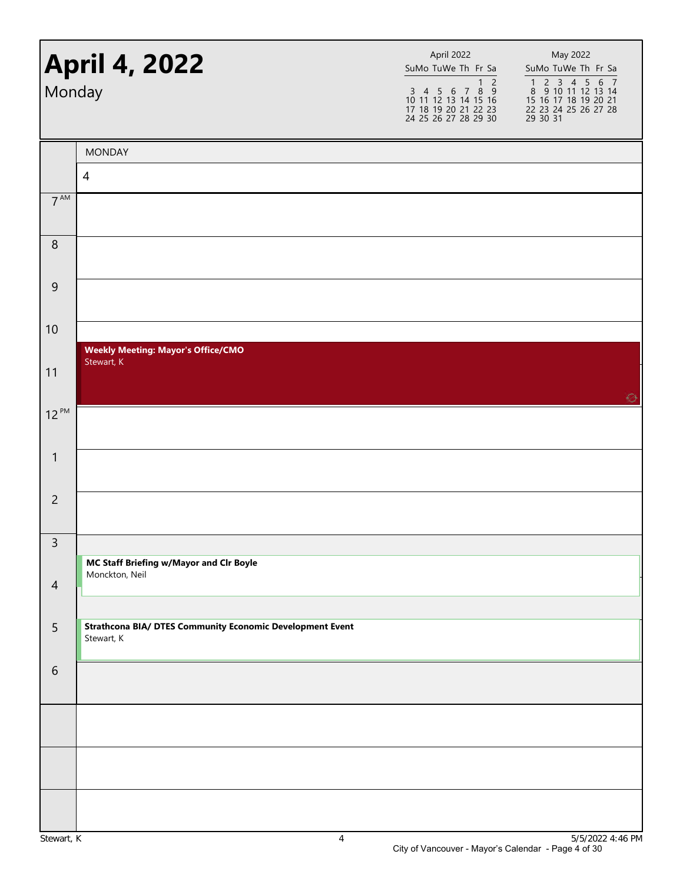| Monday           | <b>April 4, 2022</b>                                                           | April 2022<br>SuMo TuWe Th Fr Sa<br>$\overline{1}$ 2<br>3 4 5 6 7 8 9<br>10 11 12 13 14 15 16<br>17 18 19 20 21 22 23<br>24 25 26 27 28 29 30 | May 2022<br>SuMo TuWe Th Fr Sa<br>1 2 3 4 5 6 7<br>8 9 10 11 12 13 14<br>15 16 17 18 19 20 21<br>22 23 24 25 26 27 28<br>29 30 31 |
|------------------|--------------------------------------------------------------------------------|-----------------------------------------------------------------------------------------------------------------------------------------------|-----------------------------------------------------------------------------------------------------------------------------------|
|                  | <b>MONDAY</b>                                                                  |                                                                                                                                               |                                                                                                                                   |
|                  | 4                                                                              |                                                                                                                                               |                                                                                                                                   |
| $7^{\text{AM}}$  |                                                                                |                                                                                                                                               |                                                                                                                                   |
| $\, 8$           |                                                                                |                                                                                                                                               |                                                                                                                                   |
| $\boldsymbol{9}$ |                                                                                |                                                                                                                                               |                                                                                                                                   |
| 10               |                                                                                |                                                                                                                                               |                                                                                                                                   |
| 11               | <b>Weekly Meeting: Mayor's Office/CMO</b><br>Stewart, K                        |                                                                                                                                               | Ø                                                                                                                                 |
| $12^{PM}$        |                                                                                |                                                                                                                                               |                                                                                                                                   |
| $\mathbf{1}$     |                                                                                |                                                                                                                                               |                                                                                                                                   |
| $\overline{2}$   |                                                                                |                                                                                                                                               |                                                                                                                                   |
| $\mathsf{3}$     |                                                                                |                                                                                                                                               |                                                                                                                                   |
|                  | MC Staff Briefing w/Mayor and Clr Boyle<br>Monckton, Neil                      |                                                                                                                                               |                                                                                                                                   |
| $\overline{4}$   |                                                                                |                                                                                                                                               |                                                                                                                                   |
| 5                | <b>Strathcona BIA/ DTES Community Economic Development Event</b><br>Stewart, K |                                                                                                                                               |                                                                                                                                   |
| $\sqrt{6}$       |                                                                                |                                                                                                                                               |                                                                                                                                   |
|                  |                                                                                |                                                                                                                                               |                                                                                                                                   |
|                  |                                                                                |                                                                                                                                               |                                                                                                                                   |
|                  |                                                                                |                                                                                                                                               |                                                                                                                                   |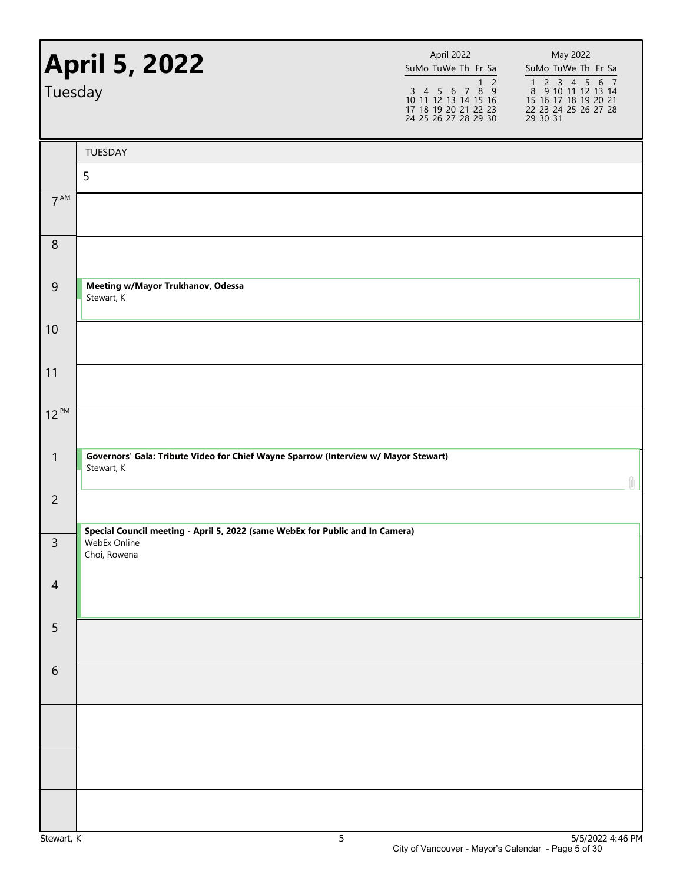| Tuesday         | <b>April 5, 2022</b>                                                                                          | April 2022<br>SuMo TuWe Th Fr Sa<br>$\overline{\phantom{0}}$<br>$\mathbf{1}$<br>3 4 5 6 7 8 9<br>10 11 12 13 14 15 16<br>17 18 19 20 21 22 23<br>24 25 26 27 28 29 30 | May 2022<br>SuMo TuWe Th Fr Sa<br>1 2 3 4 5 6 7<br>8 9 10 11 12 13 14<br>15 16 17 18 19 20 21<br>22 23 24 25 26 27 28<br>29 30 31 |
|-----------------|---------------------------------------------------------------------------------------------------------------|-----------------------------------------------------------------------------------------------------------------------------------------------------------------------|-----------------------------------------------------------------------------------------------------------------------------------|
|                 | TUESDAY                                                                                                       |                                                                                                                                                                       |                                                                                                                                   |
|                 | 5                                                                                                             |                                                                                                                                                                       |                                                                                                                                   |
| $7^{\text{AM}}$ |                                                                                                               |                                                                                                                                                                       |                                                                                                                                   |
| $\, 8$          |                                                                                                               |                                                                                                                                                                       |                                                                                                                                   |
| $\mathsf 9$     | Meeting w/Mayor Trukhanov, Odessa<br>Stewart, K                                                               |                                                                                                                                                                       |                                                                                                                                   |
| 10              |                                                                                                               |                                                                                                                                                                       |                                                                                                                                   |
| 11              |                                                                                                               |                                                                                                                                                                       |                                                                                                                                   |
| $12^{PM}$       |                                                                                                               |                                                                                                                                                                       |                                                                                                                                   |
| $\mathbf{1}$    | Governors' Gala: Tribute Video for Chief Wayne Sparrow (Interview w/ Mayor Stewart)<br>Stewart, K             |                                                                                                                                                                       |                                                                                                                                   |
| $\overline{2}$  |                                                                                                               |                                                                                                                                                                       |                                                                                                                                   |
| 3               | Special Council meeting - April 5, 2022 (same WebEx for Public and In Camera)<br>WebEx Online<br>Choi, Rowena |                                                                                                                                                                       |                                                                                                                                   |
| $\overline{4}$  |                                                                                                               |                                                                                                                                                                       |                                                                                                                                   |
| 5               |                                                                                                               |                                                                                                                                                                       |                                                                                                                                   |
| $6\,$           |                                                                                                               |                                                                                                                                                                       |                                                                                                                                   |
|                 |                                                                                                               |                                                                                                                                                                       |                                                                                                                                   |
|                 |                                                                                                               |                                                                                                                                                                       |                                                                                                                                   |
|                 |                                                                                                               |                                                                                                                                                                       |                                                                                                                                   |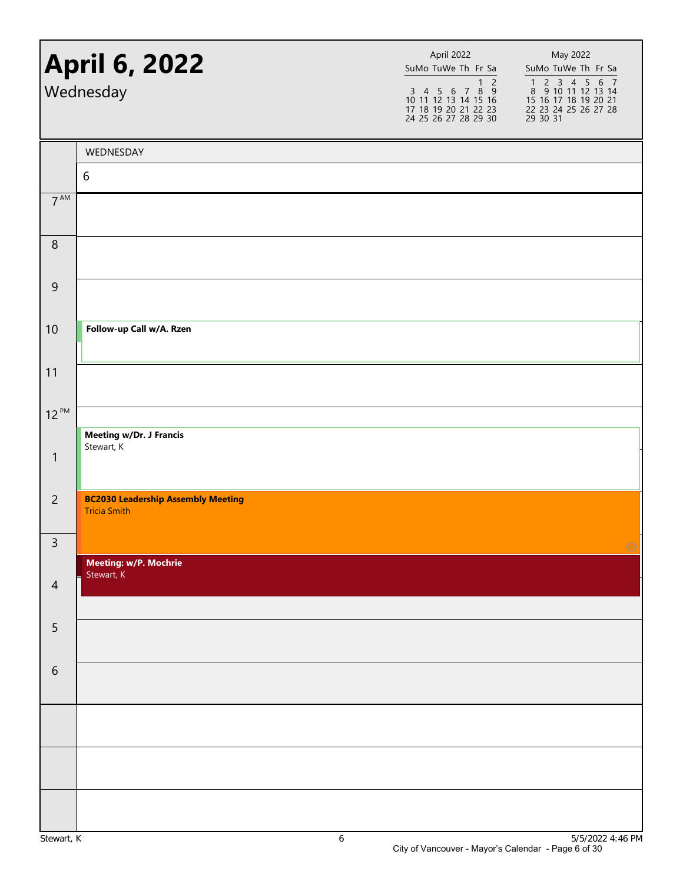| <b>April 6, 2022</b><br>Wednesday |                                                                  | April 2022<br>SuMo TuWe Th Fr Sa<br>$\overline{1}$ 2<br>$\begin{array}{cccccc}\n3 & 4 & 5 & 6 & 7 & 8 & 9 \\ 10 & 11 & 12 & 13 & 14 & 15 & 16\n\end{array}$<br>17 18 19 20 21 22 23<br>24 25 26 27 28 29 30 | May 2022<br>SuMo TuWe Th Fr Sa<br>1 2 3 4 5 6 7<br>8 9 10 11 12 13 14<br>15 16 17 18 19 20 21<br>22 23 24 25 26 27 28<br>29 30 31 |  |
|-----------------------------------|------------------------------------------------------------------|-------------------------------------------------------------------------------------------------------------------------------------------------------------------------------------------------------------|-----------------------------------------------------------------------------------------------------------------------------------|--|
|                                   | WEDNESDAY                                                        |                                                                                                                                                                                                             |                                                                                                                                   |  |
|                                   | 6                                                                |                                                                                                                                                                                                             |                                                                                                                                   |  |
| $7^{AM}$                          |                                                                  |                                                                                                                                                                                                             |                                                                                                                                   |  |
| 8                                 |                                                                  |                                                                                                                                                                                                             |                                                                                                                                   |  |
| $\overline{9}$                    |                                                                  |                                                                                                                                                                                                             |                                                                                                                                   |  |
| 10                                | Follow-up Call w/A. Rzen                                         |                                                                                                                                                                                                             |                                                                                                                                   |  |
| 11                                |                                                                  |                                                                                                                                                                                                             |                                                                                                                                   |  |
| $12^{PM}$                         |                                                                  |                                                                                                                                                                                                             |                                                                                                                                   |  |
| $\mathbf{1}$                      | <b>Meeting w/Dr. J Francis</b><br>Stewart, K                     |                                                                                                                                                                                                             |                                                                                                                                   |  |
| $\overline{2}$                    | <b>BC2030 Leadership Assembly Meeting</b><br><b>Tricia Smith</b> |                                                                                                                                                                                                             |                                                                                                                                   |  |
| $\mathsf 3$                       |                                                                  |                                                                                                                                                                                                             |                                                                                                                                   |  |
|                                   | Meeting: w/P. Mochrie<br>Stewart, K                              |                                                                                                                                                                                                             |                                                                                                                                   |  |
| $\overline{4}$                    |                                                                  |                                                                                                                                                                                                             |                                                                                                                                   |  |
| 5                                 |                                                                  |                                                                                                                                                                                                             |                                                                                                                                   |  |
| $\sqrt{6}$                        |                                                                  |                                                                                                                                                                                                             |                                                                                                                                   |  |
|                                   |                                                                  |                                                                                                                                                                                                             |                                                                                                                                   |  |
|                                   |                                                                  |                                                                                                                                                                                                             |                                                                                                                                   |  |
|                                   |                                                                  |                                                                                                                                                                                                             | $T/T$ $(0.000$                                                                                                                    |  |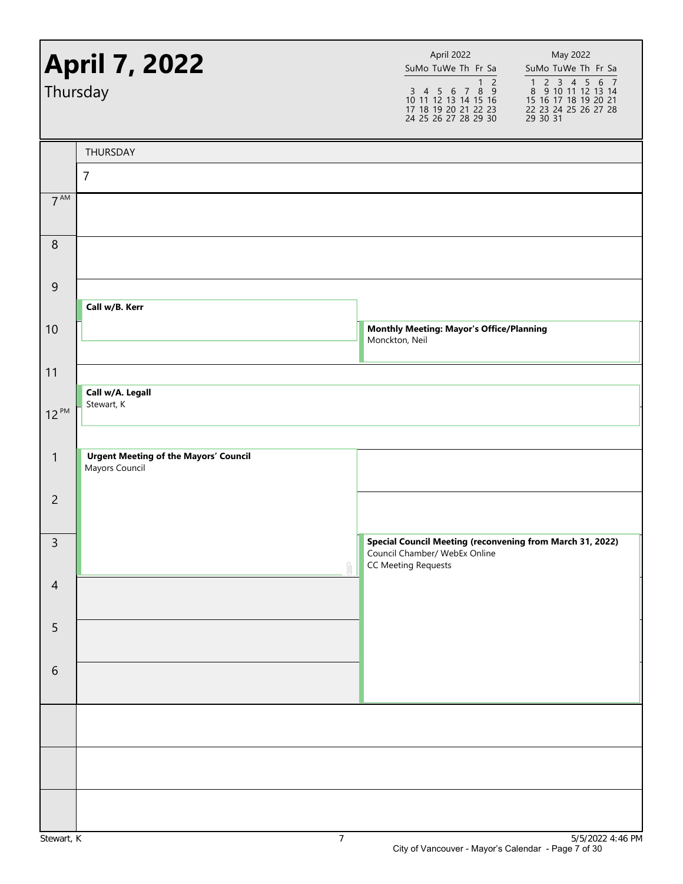|                 | <b>April 7, 2022</b><br>Thursday                               | April 2022<br>SuMo TuWe Th Fr Sa<br>$\overline{1}$ 2<br>$\begin{array}{cccccc}\n3 & 4 & 5 & 6 & 7 & 8 & 9 \\ 10 & 11 & 12 & 13 & 14 & 15 & 16\n\end{array}$<br>17 18 19 20 21 22 23<br>24 25 26 27 28 29 30 | May 2022<br>SuMo TuWe Th Fr Sa<br>1 2 3 4 5 6 7<br>8 9 10 11 12 13 14<br>15 16 17 18 19 20 21<br>22 23 24 25 26 27 28<br>29 30 31 |
|-----------------|----------------------------------------------------------------|-------------------------------------------------------------------------------------------------------------------------------------------------------------------------------------------------------------|-----------------------------------------------------------------------------------------------------------------------------------|
|                 | THURSDAY                                                       |                                                                                                                                                                                                             |                                                                                                                                   |
|                 | $\overline{7}$                                                 |                                                                                                                                                                                                             |                                                                                                                                   |
| $7^{\text{AM}}$ |                                                                |                                                                                                                                                                                                             |                                                                                                                                   |
| $\, 8$          |                                                                |                                                                                                                                                                                                             |                                                                                                                                   |
| $9\,$           |                                                                |                                                                                                                                                                                                             |                                                                                                                                   |
|                 | Call w/B. Kerr                                                 |                                                                                                                                                                                                             |                                                                                                                                   |
| 10              |                                                                | <b>Monthly Meeting: Mayor's Office/Planning</b><br>Monckton, Neil                                                                                                                                           |                                                                                                                                   |
| 11              |                                                                |                                                                                                                                                                                                             |                                                                                                                                   |
| $12^{PM}$       | Call w/A. Legall<br>Stewart, K                                 |                                                                                                                                                                                                             |                                                                                                                                   |
|                 |                                                                |                                                                                                                                                                                                             |                                                                                                                                   |
| $\mathbf{1}$    | <b>Urgent Meeting of the Mayors' Council</b><br>Mayors Council |                                                                                                                                                                                                             |                                                                                                                                   |
| $\overline{2}$  |                                                                |                                                                                                                                                                                                             |                                                                                                                                   |
| 3               | Ĥ.                                                             | Special Council Meeting (reconvening from March 31, 2022)<br>Council Chamber/ WebEx Online<br><b>CC Meeting Requests</b>                                                                                    |                                                                                                                                   |
| $\overline{4}$  |                                                                |                                                                                                                                                                                                             |                                                                                                                                   |
| 5               |                                                                |                                                                                                                                                                                                             |                                                                                                                                   |
| $\sqrt{6}$      |                                                                |                                                                                                                                                                                                             |                                                                                                                                   |
|                 |                                                                |                                                                                                                                                                                                             |                                                                                                                                   |
|                 |                                                                |                                                                                                                                                                                                             |                                                                                                                                   |
|                 |                                                                |                                                                                                                                                                                                             |                                                                                                                                   |
|                 |                                                                |                                                                                                                                                                                                             |                                                                                                                                   |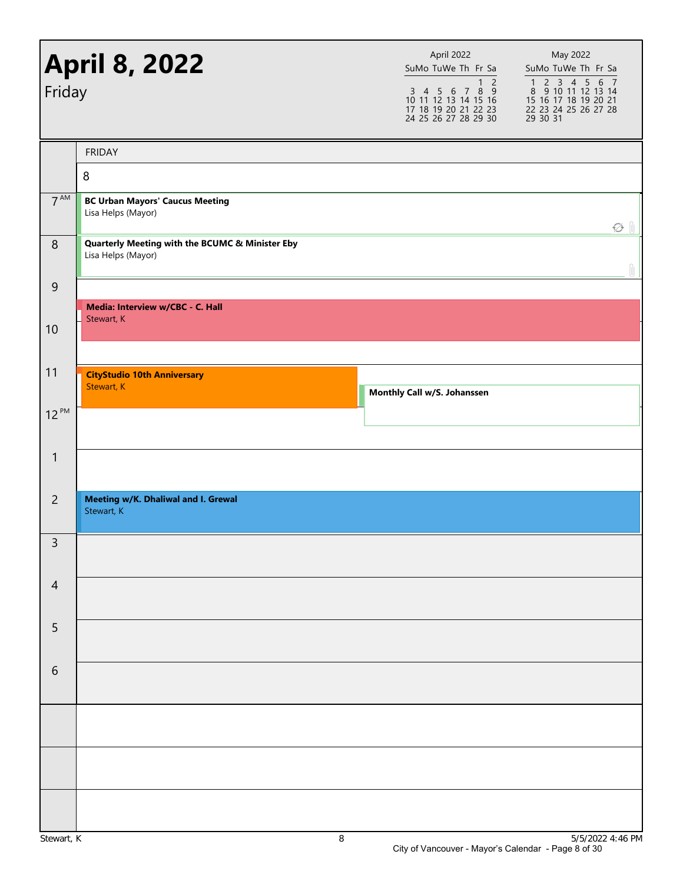| Friday          | <b>April 8, 2022</b>                                                             | April 2022<br>SuMo TuWe Th Fr Sa<br>$\overline{1}$ 2<br>$\begin{array}{cccccc}\n3 & 4 & 5 & 6 & 7 & 8 & 9 \\ 10 & 11 & 12 & 13 & 14 & 15 & 16\n\end{array}$<br>17 18 19 20 21 22 23<br>24 25 26 27 28 29 30 | May 2022<br>SuMo TuWe Th Fr Sa<br>1 2 3 4 5 6 7<br>8 9 10 11 12 13 14<br>15 16 17 18 19 20 21<br>22 23 24 25 26 27 28<br>29 30 31 |
|-----------------|----------------------------------------------------------------------------------|-------------------------------------------------------------------------------------------------------------------------------------------------------------------------------------------------------------|-----------------------------------------------------------------------------------------------------------------------------------|
|                 | <b>FRIDAY</b>                                                                    |                                                                                                                                                                                                             |                                                                                                                                   |
|                 | 8                                                                                |                                                                                                                                                                                                             |                                                                                                                                   |
| 7 <sup>AM</sup> | <b>BC Urban Mayors' Caucus Meeting</b><br>Lisa Helps (Mayor)                     |                                                                                                                                                                                                             | $\varnothing$ $\parallel$                                                                                                         |
| $\, 8$          | <b>Quarterly Meeting with the BCUMC &amp; Minister Eby</b><br>Lisa Helps (Mayor) |                                                                                                                                                                                                             |                                                                                                                                   |
| $\overline{9}$  |                                                                                  |                                                                                                                                                                                                             |                                                                                                                                   |
|                 | Media: Interview w/CBC - C. Hall<br>Stewart, K                                   |                                                                                                                                                                                                             |                                                                                                                                   |
| 10              |                                                                                  |                                                                                                                                                                                                             |                                                                                                                                   |
|                 |                                                                                  |                                                                                                                                                                                                             |                                                                                                                                   |
| 11              | <b>CityStudio 10th Anniversary</b><br>Stewart, K                                 | Monthly Call w/S. Johanssen                                                                                                                                                                                 |                                                                                                                                   |
| $12^{PM}$       |                                                                                  |                                                                                                                                                                                                             |                                                                                                                                   |
| $\mathbf{1}$    |                                                                                  |                                                                                                                                                                                                             |                                                                                                                                   |
| $\overline{2}$  | Meeting w/K. Dhaliwal and I. Grewal<br>Stewart, K                                |                                                                                                                                                                                                             |                                                                                                                                   |
| $\mathbf{R}$    |                                                                                  |                                                                                                                                                                                                             |                                                                                                                                   |
| $\overline{4}$  |                                                                                  |                                                                                                                                                                                                             |                                                                                                                                   |
| 5               |                                                                                  |                                                                                                                                                                                                             |                                                                                                                                   |
| $\sqrt{6}$      |                                                                                  |                                                                                                                                                                                                             |                                                                                                                                   |
|                 |                                                                                  |                                                                                                                                                                                                             |                                                                                                                                   |
|                 |                                                                                  |                                                                                                                                                                                                             |                                                                                                                                   |
|                 |                                                                                  |                                                                                                                                                                                                             |                                                                                                                                   |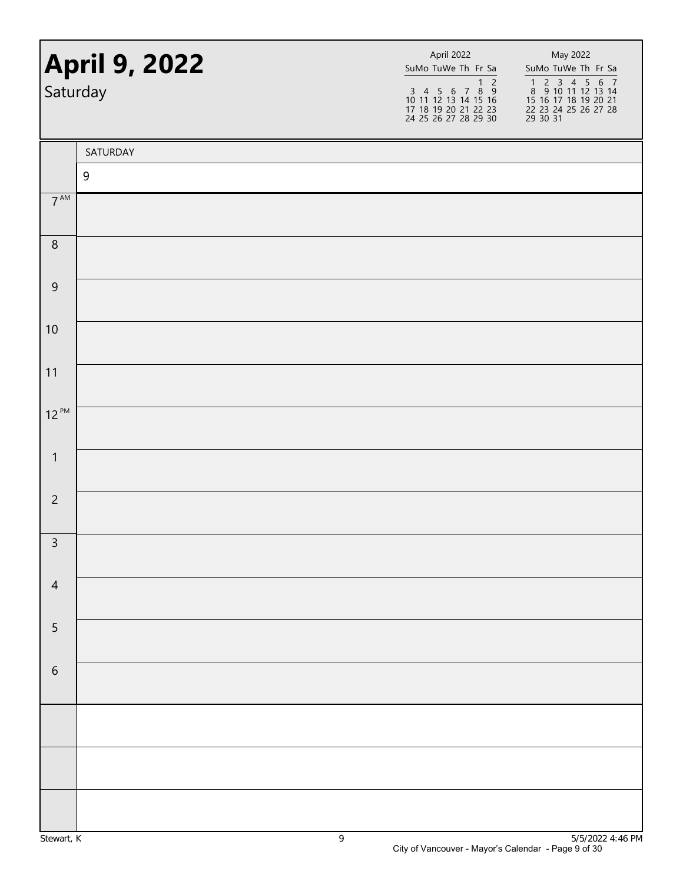| <b>April 9, 2022</b><br>Saturday |          | April 2022<br>SuMo TuWe Th Fr Sa<br>$\begin{array}{@{}c@{\hspace{1em}}c@{\hspace{1em}}c@{\hspace{1em}}c@{\hspace{1em}}c@{\hspace{1em}}c@{\hspace{1em}}c@{\hspace{1em}}c@{\hspace{1em}}c@{\hspace{1em}}c@{\hspace{1em}}c@{\hspace{1em}}c@{\hspace{1em}}c@{\hspace{1em}}c@{\hspace{1em}}c@{\hspace{1em}}c@{\hspace{1em}}c@{\hspace{1em}}c@{\hspace{1em}}c@{\hspace{1em}}c@{\hspace{1em}}c@{\hspace{1em}}c@{\hspace{1em}}c@{\hspace{1em}}c@{\hspace{$<br>17 18 19 20 21 22 23<br>24 25 26 27 28 29 30 | May 2022<br>SuMo TuWe Th Fr Sa<br>1 2 3 4 5 6 7<br>8 9 10 11 12 13 14<br>15 16 17 18 19 20 21<br>22 23 24 25 26 27 28<br>$\overline{29}$ 30 31 |
|----------------------------------|----------|----------------------------------------------------------------------------------------------------------------------------------------------------------------------------------------------------------------------------------------------------------------------------------------------------------------------------------------------------------------------------------------------------------------------------------------------------------------------------------------------------|------------------------------------------------------------------------------------------------------------------------------------------------|
|                                  | SATURDAY |                                                                                                                                                                                                                                                                                                                                                                                                                                                                                                    |                                                                                                                                                |
|                                  | 9        |                                                                                                                                                                                                                                                                                                                                                                                                                                                                                                    |                                                                                                                                                |
| $7^{\text{AM}}$                  |          |                                                                                                                                                                                                                                                                                                                                                                                                                                                                                                    |                                                                                                                                                |
| $\, 8$                           |          |                                                                                                                                                                                                                                                                                                                                                                                                                                                                                                    |                                                                                                                                                |
| $\boldsymbol{9}$                 |          |                                                                                                                                                                                                                                                                                                                                                                                                                                                                                                    |                                                                                                                                                |
| 10                               |          |                                                                                                                                                                                                                                                                                                                                                                                                                                                                                                    |                                                                                                                                                |
| 11                               |          |                                                                                                                                                                                                                                                                                                                                                                                                                                                                                                    |                                                                                                                                                |
| $12^{PM}$                        |          |                                                                                                                                                                                                                                                                                                                                                                                                                                                                                                    |                                                                                                                                                |
| $\mathbf{1}$                     |          |                                                                                                                                                                                                                                                                                                                                                                                                                                                                                                    |                                                                                                                                                |
| $\overline{c}$                   |          |                                                                                                                                                                                                                                                                                                                                                                                                                                                                                                    |                                                                                                                                                |
| $\overline{3}$                   |          |                                                                                                                                                                                                                                                                                                                                                                                                                                                                                                    |                                                                                                                                                |
| $\overline{4}$                   |          |                                                                                                                                                                                                                                                                                                                                                                                                                                                                                                    |                                                                                                                                                |
| 5                                |          |                                                                                                                                                                                                                                                                                                                                                                                                                                                                                                    |                                                                                                                                                |
| $\,$ 6 $\,$                      |          |                                                                                                                                                                                                                                                                                                                                                                                                                                                                                                    |                                                                                                                                                |
|                                  |          |                                                                                                                                                                                                                                                                                                                                                                                                                                                                                                    |                                                                                                                                                |
|                                  |          |                                                                                                                                                                                                                                                                                                                                                                                                                                                                                                    |                                                                                                                                                |
|                                  |          |                                                                                                                                                                                                                                                                                                                                                                                                                                                                                                    |                                                                                                                                                |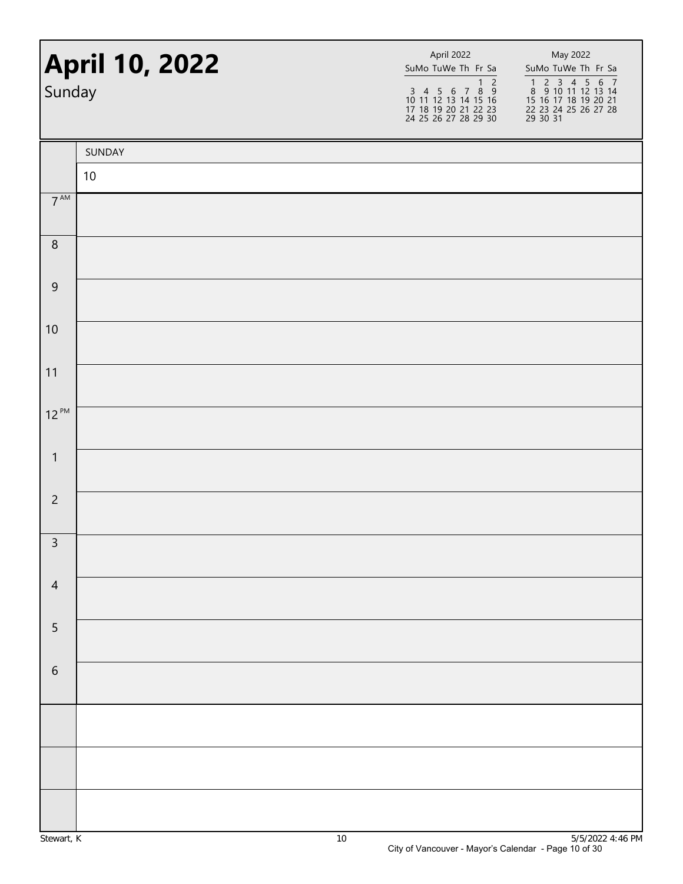| <b>April 10, 2022</b><br>Sunday |        | April 2022<br>SuMo TuWe Th Fr Sa<br>$\overline{1}$ 2<br>$\begin{array}{cccccc}\n3 & 4 & 5 & 6 & 7 & 8 & 9 \\ 10 & 11 & 12 & 13 & 14 & 15 & 16\n\end{array}$<br>17 18 19 20 21 22 23<br>24 25 26 27 28 29 30 | May 2022<br>SuMo TuWe Th Fr Sa<br>1 2 3 4 5 6 7<br>8 9 10 11 12 13 14<br>15 16 17 18 19 20 21<br>22 23 24 25 26 27 28<br>29 30 31 |
|---------------------------------|--------|-------------------------------------------------------------------------------------------------------------------------------------------------------------------------------------------------------------|-----------------------------------------------------------------------------------------------------------------------------------|
|                                 | SUNDAY |                                                                                                                                                                                                             |                                                                                                                                   |
|                                 | $10$   |                                                                                                                                                                                                             |                                                                                                                                   |
| $7^{\text{AM}}$                 |        |                                                                                                                                                                                                             |                                                                                                                                   |
| $\, 8$                          |        |                                                                                                                                                                                                             |                                                                                                                                   |
| $\mathsf 9$                     |        |                                                                                                                                                                                                             |                                                                                                                                   |
| 10                              |        |                                                                                                                                                                                                             |                                                                                                                                   |
| 11                              |        |                                                                                                                                                                                                             |                                                                                                                                   |
| $12^{PM}$                       |        |                                                                                                                                                                                                             |                                                                                                                                   |
| $\mathbf{1}$                    |        |                                                                                                                                                                                                             |                                                                                                                                   |
| $\overline{c}$                  |        |                                                                                                                                                                                                             |                                                                                                                                   |
| $\overline{3}$                  |        |                                                                                                                                                                                                             |                                                                                                                                   |
| $\overline{4}$                  |        |                                                                                                                                                                                                             |                                                                                                                                   |
| $\overline{5}$                  |        |                                                                                                                                                                                                             |                                                                                                                                   |
| $\sqrt{6}$                      |        |                                                                                                                                                                                                             |                                                                                                                                   |
|                                 |        |                                                                                                                                                                                                             |                                                                                                                                   |
|                                 |        |                                                                                                                                                                                                             |                                                                                                                                   |
|                                 |        |                                                                                                                                                                                                             |                                                                                                                                   |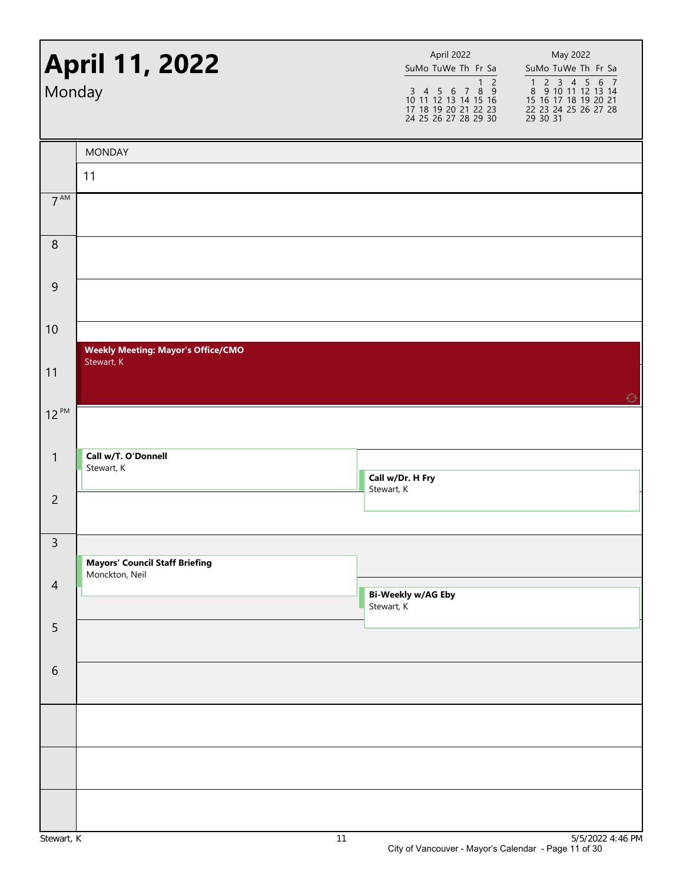|                 |                                                         | 24 25 26 27 28 29 30                    | 1 2 3 4 5 6 7<br>8 9 10 11 12 13 14<br>15 16 17 18 19 20 21<br>22 23 24 25 26 27 28<br>29 30 31 |
|-----------------|---------------------------------------------------------|-----------------------------------------|-------------------------------------------------------------------------------------------------|
|                 | <b>MONDAY</b>                                           |                                         |                                                                                                 |
| 11              |                                                         |                                         |                                                                                                 |
| $7^{\text{AM}}$ |                                                         |                                         |                                                                                                 |
| $\, 8$          |                                                         |                                         |                                                                                                 |
| $\overline{9}$  |                                                         |                                         |                                                                                                 |
| 10              |                                                         |                                         |                                                                                                 |
| 11              | <b>Weekly Meeting: Mayor's Office/CMO</b><br>Stewart, K |                                         |                                                                                                 |
| $12^{PM}$       |                                                         |                                         | ⊙                                                                                               |
| $\mathbf{1}$    | Call w/T. O'Donnell<br>Stewart, K                       | Call w/Dr. H Fry<br>Stewart, K          |                                                                                                 |
| $\overline{c}$  |                                                         |                                         |                                                                                                 |
| $\mathsf{3}$    | <b>Mayors' Council Staff Briefing</b>                   |                                         |                                                                                                 |
| $\overline{4}$  | Monckton, Neil                                          | <b>Bi-Weekly w/AG Eby</b><br>Stewart, K |                                                                                                 |
| 5               |                                                         |                                         |                                                                                                 |
| 6               |                                                         |                                         |                                                                                                 |
|                 |                                                         |                                         |                                                                                                 |
|                 |                                                         |                                         |                                                                                                 |
|                 |                                                         |                                         |                                                                                                 |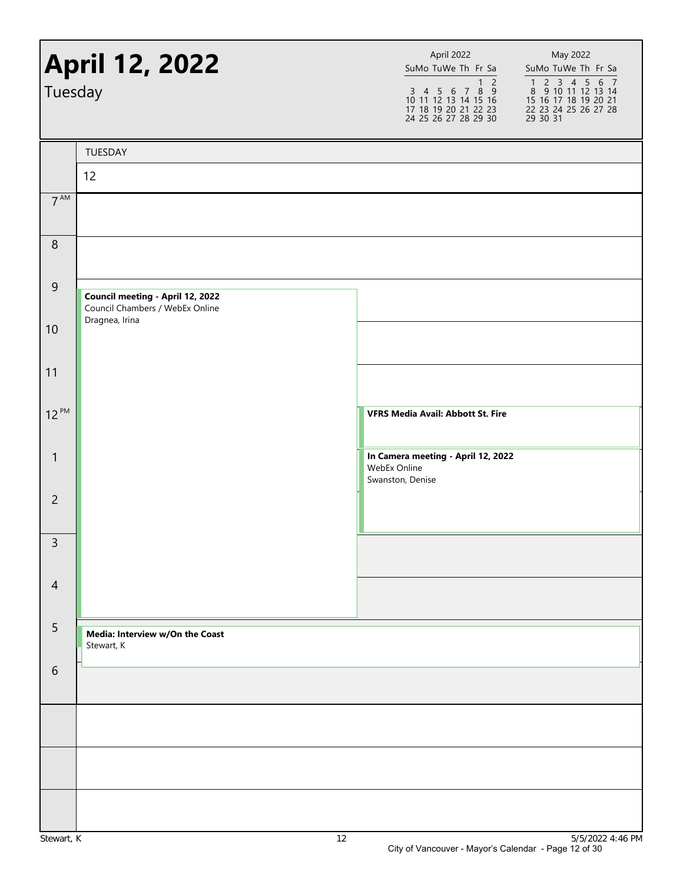| Tuesday        | <b>April 12, 2022</b>                                               | April 2022<br>May 2022<br>SuMo TuWe Th Fr Sa<br>SuMo TuWe Th Fr Sa<br>1 2 3 4 5 6 7<br>8 9 10 11 12 13 14<br>15 16 17 18 19 20 21<br>1 <sub>2</sub><br>$\begin{array}{cccccc}\n3 & 4 & 5 & 6 & 7 & 8 & 9 \\ 10 & 11 & 12 & 13 & 14 & 15 & 16\n\end{array}$<br>17 18 19 20 21 22 23<br>22 23 24 25 26 27 28<br>29 30 31<br>24 25 26 27 28 29 30 |
|----------------|---------------------------------------------------------------------|------------------------------------------------------------------------------------------------------------------------------------------------------------------------------------------------------------------------------------------------------------------------------------------------------------------------------------------------|
|                | TUESDAY                                                             |                                                                                                                                                                                                                                                                                                                                                |
|                | 12                                                                  |                                                                                                                                                                                                                                                                                                                                                |
| $7^{AM}$       |                                                                     |                                                                                                                                                                                                                                                                                                                                                |
| $\,8\,$        |                                                                     |                                                                                                                                                                                                                                                                                                                                                |
| $\overline{9}$ | Council meeting - April 12, 2022<br>Council Chambers / WebEx Online |                                                                                                                                                                                                                                                                                                                                                |
| 10             | Dragnea, Irina                                                      |                                                                                                                                                                                                                                                                                                                                                |
| 11             |                                                                     |                                                                                                                                                                                                                                                                                                                                                |
| $12^{PM}$      |                                                                     | <b>VFRS Media Avail: Abbott St. Fire</b>                                                                                                                                                                                                                                                                                                       |
| $\mathbf{1}$   |                                                                     | In Camera meeting - April 12, 2022<br>WebEx Online<br>Swanston, Denise                                                                                                                                                                                                                                                                         |
| $\overline{c}$ |                                                                     |                                                                                                                                                                                                                                                                                                                                                |
| 3              |                                                                     |                                                                                                                                                                                                                                                                                                                                                |
| $\overline{4}$ |                                                                     |                                                                                                                                                                                                                                                                                                                                                |
| $\overline{5}$ | Media: Interview w/On the Coast<br>Stewart, K                       |                                                                                                                                                                                                                                                                                                                                                |
| 6              |                                                                     |                                                                                                                                                                                                                                                                                                                                                |
|                |                                                                     |                                                                                                                                                                                                                                                                                                                                                |
|                |                                                                     |                                                                                                                                                                                                                                                                                                                                                |
|                |                                                                     |                                                                                                                                                                                                                                                                                                                                                |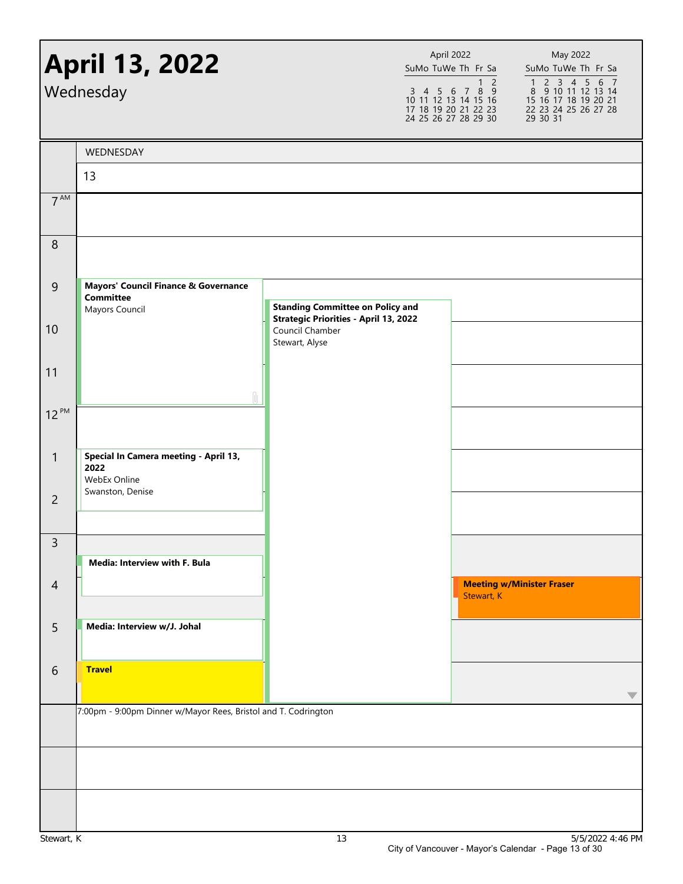|                 | <b>April 13, 2022</b><br>Wednesday                                                    |                                                                                   | April 2022 | SuMo TuWe Th Fr Sa<br>$\overline{2}$<br>$\mathbf{1}$<br>$\begin{array}{cccccc}\n3 & 4 & 5 & 6 & 7 & 8 & 9 \\ 10 & 11 & 12 & 13 & 14 & 15 & 16\n\end{array}$<br>17 18 19 20 21 22 23<br>24 25 26 27 28 29 30 | May 2022<br>SuMo TuWe Th Fr Sa<br>1 2 3 4 5 6 7<br>8 9 10 11 12 13 14<br>15 16 17 18 19 20 21<br>22 23 24 25 26 27 28<br>29 30 31 |
|-----------------|---------------------------------------------------------------------------------------|-----------------------------------------------------------------------------------|------------|-------------------------------------------------------------------------------------------------------------------------------------------------------------------------------------------------------------|-----------------------------------------------------------------------------------------------------------------------------------|
|                 | WEDNESDAY                                                                             |                                                                                   |            |                                                                                                                                                                                                             |                                                                                                                                   |
|                 | 13                                                                                    |                                                                                   |            |                                                                                                                                                                                                             |                                                                                                                                   |
| $7^{\text{AM}}$ |                                                                                       |                                                                                   |            |                                                                                                                                                                                                             |                                                                                                                                   |
| $\,8\,$         |                                                                                       |                                                                                   |            |                                                                                                                                                                                                             |                                                                                                                                   |
| $\overline{9}$  | <b>Mayors' Council Finance &amp; Governance</b><br><b>Committee</b><br>Mayors Council | <b>Standing Committee on Policy and</b>                                           |            |                                                                                                                                                                                                             |                                                                                                                                   |
| 10              |                                                                                       | <b>Strategic Priorities - April 13, 2022</b><br>Council Chamber<br>Stewart, Alyse |            |                                                                                                                                                                                                             |                                                                                                                                   |
| 11              |                                                                                       |                                                                                   |            |                                                                                                                                                                                                             |                                                                                                                                   |
| $12^{PM}$       |                                                                                       |                                                                                   |            |                                                                                                                                                                                                             |                                                                                                                                   |
| 1               | Special In Camera meeting - April 13,<br>2022<br>WebEx Online                         |                                                                                   |            |                                                                                                                                                                                                             |                                                                                                                                   |
| $\overline{2}$  | Swanston, Denise                                                                      |                                                                                   |            |                                                                                                                                                                                                             |                                                                                                                                   |
| $\mathsf{3}$    | Media: Interview with F. Bula                                                         |                                                                                   |            |                                                                                                                                                                                                             |                                                                                                                                   |
| $\overline{4}$  |                                                                                       |                                                                                   |            | Stewart, K                                                                                                                                                                                                  | <b>Meeting w/Minister Fraser</b>                                                                                                  |
| 5               | Media: Interview w/J. Johal                                                           |                                                                                   |            |                                                                                                                                                                                                             |                                                                                                                                   |
| 6               | <b>Travel</b>                                                                         |                                                                                   |            |                                                                                                                                                                                                             | ◡                                                                                                                                 |
|                 | 7:00pm - 9:00pm Dinner w/Mayor Rees, Bristol and T. Codrington                        |                                                                                   |            |                                                                                                                                                                                                             |                                                                                                                                   |
|                 |                                                                                       |                                                                                   |            |                                                                                                                                                                                                             |                                                                                                                                   |
|                 |                                                                                       |                                                                                   |            |                                                                                                                                                                                                             |                                                                                                                                   |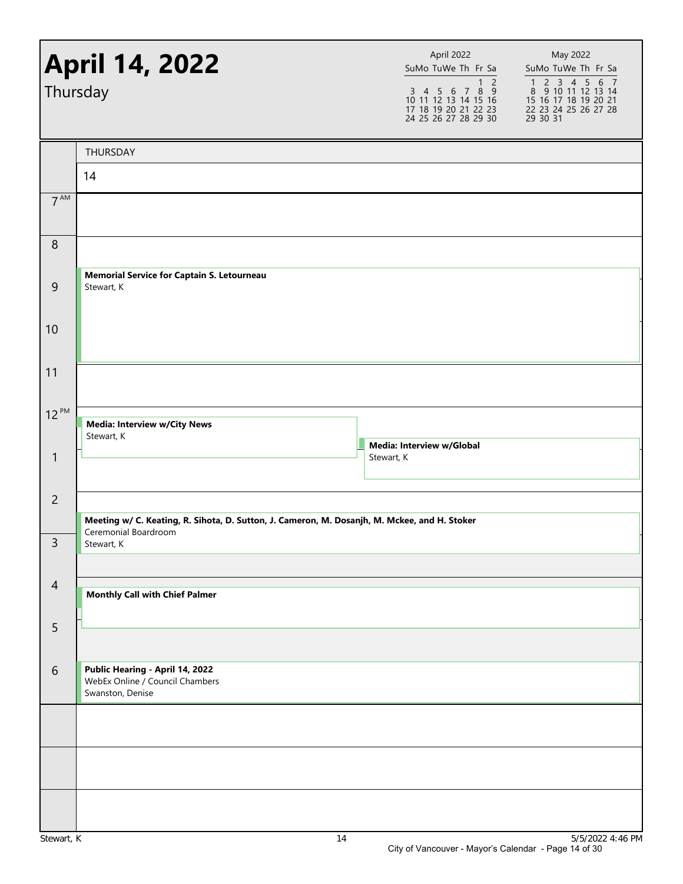|                 | <b>April 14, 2022</b><br>Thursday                                                                                                  | April 2022<br>SuMo TuWe Th Fr Sa<br>1 <sub>2</sub><br>$\begin{array}{cccccc}\n3 & 4 & 5 & 6 & 7 & 8 & 9 \\ 10 & 11 & 12 & 13 & 14 & 15 & 16\n\end{array}$<br>17 18 19 20 21 22 23<br>24 25 26 27 28 29 30 | May 2022<br>SuMo TuWe Th Fr Sa<br>1 2 3 4 5 6 7<br>8 9 10 11 12 13 14<br>15 16 17 18 19 20 21<br>22 23 24 25 26 27 28<br>29 30 31 |
|-----------------|------------------------------------------------------------------------------------------------------------------------------------|-----------------------------------------------------------------------------------------------------------------------------------------------------------------------------------------------------------|-----------------------------------------------------------------------------------------------------------------------------------|
|                 | THURSDAY                                                                                                                           |                                                                                                                                                                                                           |                                                                                                                                   |
|                 | 14                                                                                                                                 |                                                                                                                                                                                                           |                                                                                                                                   |
| 7 <sup>AM</sup> |                                                                                                                                    |                                                                                                                                                                                                           |                                                                                                                                   |
| 8               |                                                                                                                                    |                                                                                                                                                                                                           |                                                                                                                                   |
| 9               | <b>Memorial Service for Captain S. Letourneau</b><br>Stewart, K                                                                    |                                                                                                                                                                                                           |                                                                                                                                   |
| 10              |                                                                                                                                    |                                                                                                                                                                                                           |                                                                                                                                   |
| 11              |                                                                                                                                    |                                                                                                                                                                                                           |                                                                                                                                   |
| $12^{PM}$       | <b>Media: Interview w/City News</b><br>Stewart, K                                                                                  |                                                                                                                                                                                                           |                                                                                                                                   |
| $\mathbf{1}$    |                                                                                                                                    | Media: Interview w/Global<br>Stewart, K                                                                                                                                                                   |                                                                                                                                   |
| $\overline{c}$  |                                                                                                                                    |                                                                                                                                                                                                           |                                                                                                                                   |
| 3               | Meeting w/ C. Keating, R. Sihota, D. Sutton, J. Cameron, M. Dosanjh, M. Mckee, and H. Stoker<br>Ceremonial Boardroom<br>Stewart, K |                                                                                                                                                                                                           |                                                                                                                                   |
|                 |                                                                                                                                    |                                                                                                                                                                                                           |                                                                                                                                   |
| $\overline{4}$  | <b>Monthly Call with Chief Palmer</b>                                                                                              |                                                                                                                                                                                                           |                                                                                                                                   |
| 5               |                                                                                                                                    |                                                                                                                                                                                                           |                                                                                                                                   |
| 6               | Public Hearing - April 14, 2022<br>WebEx Online / Council Chambers<br>Swanston, Denise                                             |                                                                                                                                                                                                           |                                                                                                                                   |
|                 |                                                                                                                                    |                                                                                                                                                                                                           |                                                                                                                                   |
|                 |                                                                                                                                    |                                                                                                                                                                                                           |                                                                                                                                   |
|                 |                                                                                                                                    |                                                                                                                                                                                                           |                                                                                                                                   |
|                 |                                                                                                                                    |                                                                                                                                                                                                           |                                                                                                                                   |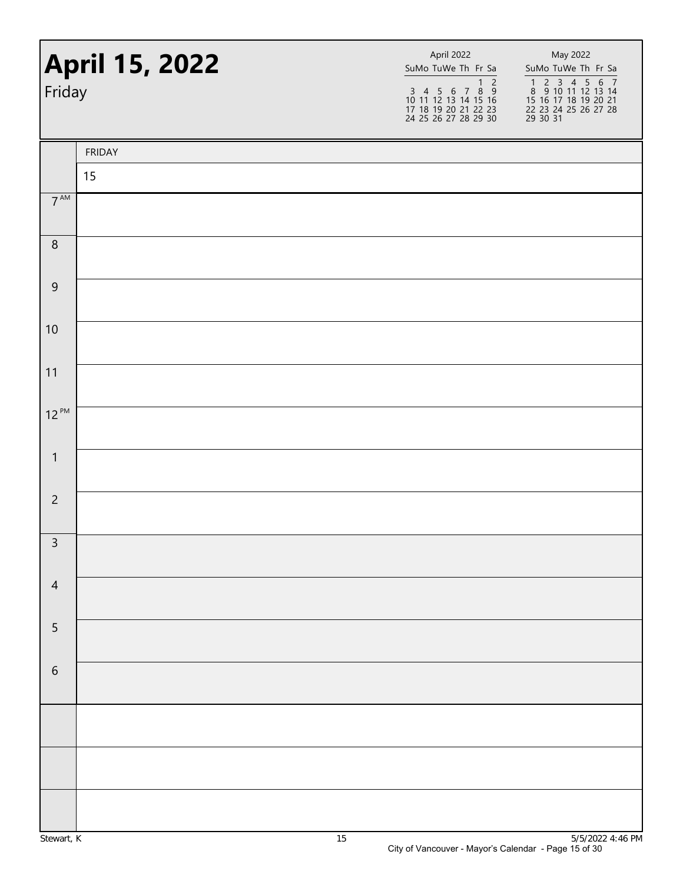| Friday          | <b>April 15, 2022</b> | April 2022<br>SuMo TuWe Th Fr Sa | May 2022<br>SuMo TuWe Th Fr Sa<br>1 2 3 4 5 6 7<br>8 9 10 11 12 13 14<br>15 16 17 18 19 20 21<br>22 23 24 25 26 27 28<br>29 30 31 |
|-----------------|-----------------------|----------------------------------|-----------------------------------------------------------------------------------------------------------------------------------|
|                 | <b>FRIDAY</b>         |                                  |                                                                                                                                   |
|                 | 15                    |                                  |                                                                                                                                   |
| $7^{\text{AM}}$ |                       |                                  |                                                                                                                                   |
| $\, 8$          |                       |                                  |                                                                                                                                   |
| $9$             |                       |                                  |                                                                                                                                   |
| 10              |                       |                                  |                                                                                                                                   |
| 11              |                       |                                  |                                                                                                                                   |
| $12^{PM}$       |                       |                                  |                                                                                                                                   |
| $\mathbf{1}$    |                       |                                  |                                                                                                                                   |
| $\overline{2}$  |                       |                                  |                                                                                                                                   |
| $\overline{3}$  |                       |                                  |                                                                                                                                   |
| $\overline{4}$  |                       |                                  |                                                                                                                                   |
| 5               |                       |                                  |                                                                                                                                   |
| $\sqrt{6}$      |                       |                                  |                                                                                                                                   |
|                 |                       |                                  |                                                                                                                                   |
|                 |                       |                                  |                                                                                                                                   |
|                 |                       |                                  |                                                                                                                                   |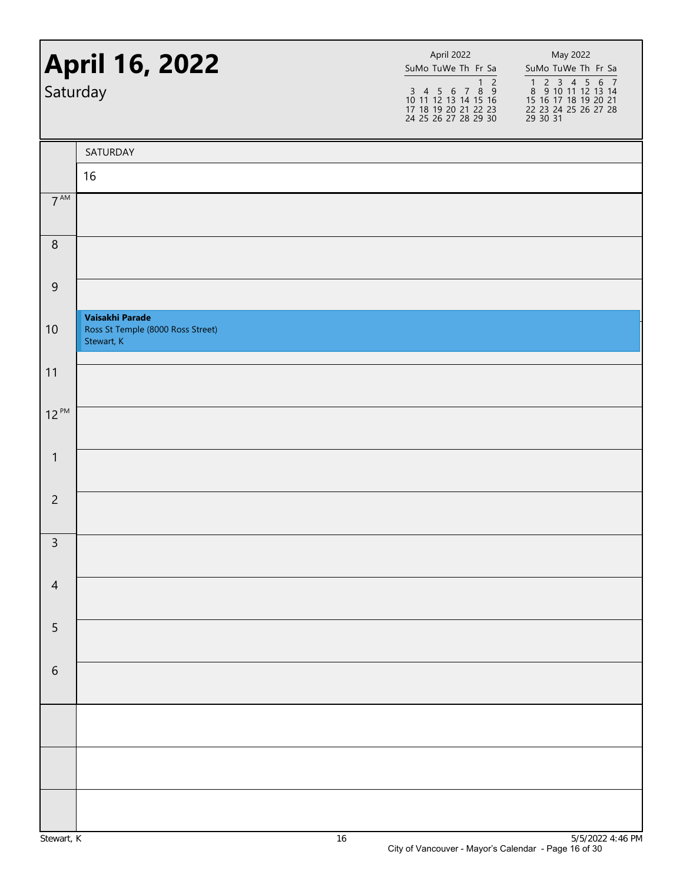| <b>April 16, 2022</b><br>Saturday |                                                                    | April 2022<br>SuMo TuWe Th Fr Sa<br>1 2<br>3 4 5 6 7 8 9<br>10 11 12 13 14 15 16<br>17 18 19 20 21 22 23<br>24 25 26 27 28 29 30 | May 2022<br>SuMo TuWe Th Fr Sa<br>1 2 3 4 5 6 7<br>8 9 10 11 12 13 14<br>15 16 17 18 19 20 21<br>22 23 24 25 26 27 28<br>29 30 31 |  |
|-----------------------------------|--------------------------------------------------------------------|----------------------------------------------------------------------------------------------------------------------------------|-----------------------------------------------------------------------------------------------------------------------------------|--|
|                                   | SATURDAY                                                           |                                                                                                                                  |                                                                                                                                   |  |
|                                   | 16                                                                 |                                                                                                                                  |                                                                                                                                   |  |
| $7^{\text{AM}}$                   |                                                                    |                                                                                                                                  |                                                                                                                                   |  |
| $\,8\,$                           |                                                                    |                                                                                                                                  |                                                                                                                                   |  |
| $9\,$                             |                                                                    |                                                                                                                                  |                                                                                                                                   |  |
| 10                                | Vaisakhi Parade<br>Ross St Temple (8000 Ross Street)<br>Stewart, K |                                                                                                                                  |                                                                                                                                   |  |
| 11                                |                                                                    |                                                                                                                                  |                                                                                                                                   |  |
| $12^{PM}$                         |                                                                    |                                                                                                                                  |                                                                                                                                   |  |
| $\mathbf{1}$                      |                                                                    |                                                                                                                                  |                                                                                                                                   |  |
| $\overline{2}$                    |                                                                    |                                                                                                                                  |                                                                                                                                   |  |
| $\overline{3}$                    |                                                                    |                                                                                                                                  |                                                                                                                                   |  |
| $\overline{4}$                    |                                                                    |                                                                                                                                  |                                                                                                                                   |  |
| 5                                 |                                                                    |                                                                                                                                  |                                                                                                                                   |  |
| $\sqrt{6}$                        |                                                                    |                                                                                                                                  |                                                                                                                                   |  |
|                                   |                                                                    |                                                                                                                                  |                                                                                                                                   |  |
|                                   |                                                                    |                                                                                                                                  |                                                                                                                                   |  |
|                                   |                                                                    |                                                                                                                                  |                                                                                                                                   |  |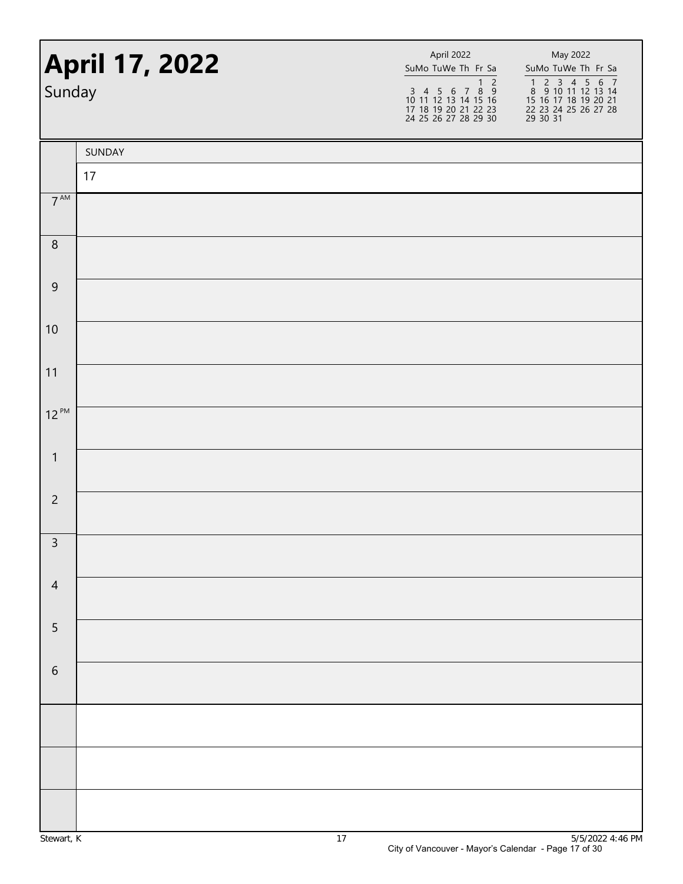| <b>April 17, 2022</b><br>Sunday |        | April 2022<br>SuMo TuWe Th Fr Sa<br>$\overline{1}$ 2<br>$\begin{array}{cccccc}\n3 & 4 & 5 & 6 & 7 & 8 & 9 \\ 10 & 11 & 12 & 13 & 14 & 15 & 16\n\end{array}$<br>17 18 19 20 21 22 23<br>24 25 26 27 28 29 30 | May 2022<br>SuMo TuWe Th Fr Sa<br>1 2 3 4 5 6 7<br>8 9 10 11 12 13 14<br>15 16 17 18 19 20 21<br>22 23 24 25 26 27 28<br>29 30 31 |  |
|---------------------------------|--------|-------------------------------------------------------------------------------------------------------------------------------------------------------------------------------------------------------------|-----------------------------------------------------------------------------------------------------------------------------------|--|
|                                 | SUNDAY |                                                                                                                                                                                                             |                                                                                                                                   |  |
|                                 | 17     |                                                                                                                                                                                                             |                                                                                                                                   |  |
| $7^{\text{AM}}$                 |        |                                                                                                                                                                                                             |                                                                                                                                   |  |
| $\, 8$                          |        |                                                                                                                                                                                                             |                                                                                                                                   |  |
| $\boldsymbol{9}$                |        |                                                                                                                                                                                                             |                                                                                                                                   |  |
| 10                              |        |                                                                                                                                                                                                             |                                                                                                                                   |  |
| 11                              |        |                                                                                                                                                                                                             |                                                                                                                                   |  |
| $12^{PM}$                       |        |                                                                                                                                                                                                             |                                                                                                                                   |  |
| $\mathbf{1}$                    |        |                                                                                                                                                                                                             |                                                                                                                                   |  |
| $\overline{c}$                  |        |                                                                                                                                                                                                             |                                                                                                                                   |  |
| $\overline{3}$                  |        |                                                                                                                                                                                                             |                                                                                                                                   |  |
| $\overline{4}$                  |        |                                                                                                                                                                                                             |                                                                                                                                   |  |
| $\overline{5}$                  |        |                                                                                                                                                                                                             |                                                                                                                                   |  |
| $\sqrt{6}$                      |        |                                                                                                                                                                                                             |                                                                                                                                   |  |
|                                 |        |                                                                                                                                                                                                             |                                                                                                                                   |  |
|                                 |        |                                                                                                                                                                                                             |                                                                                                                                   |  |
|                                 |        |                                                                                                                                                                                                             |                                                                                                                                   |  |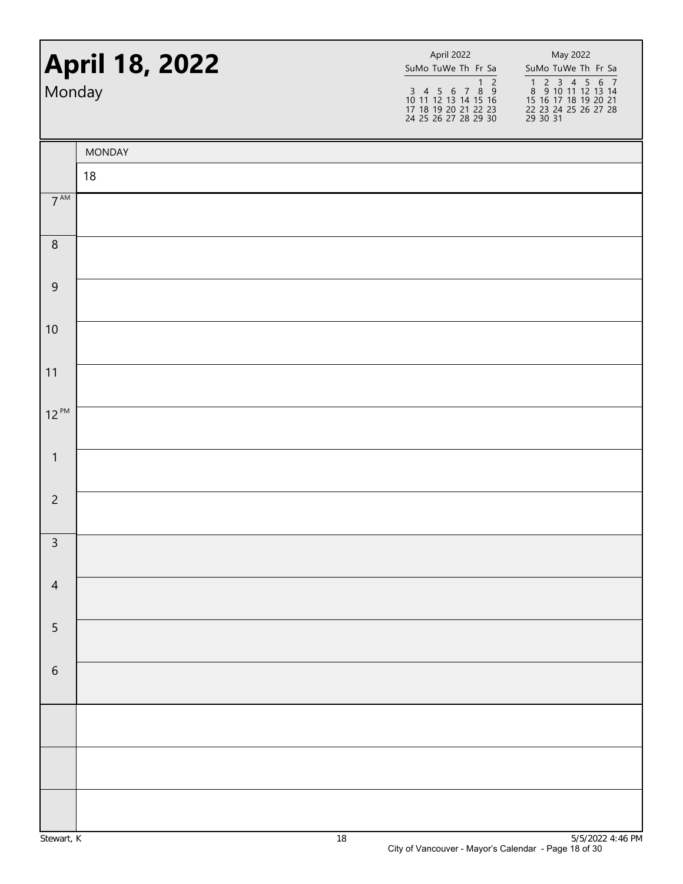|                 | <b>April 18, 2022</b><br>Monday |  | May 2022<br>SuMo TuWe Th Fr Sa<br>SuMo TuWe Th Fr Sa<br>$\overline{2}$<br>1 2 3 4 5 6 7<br>8 9 10 11 12 13 14<br>15 16 17 18 19 20 21<br>1 2<br>3 4 5 6 7 8 9<br>10 11 12 13 14 15 16<br>17 18 19 20 21 22 23<br>24 25 26 27 28 29 30<br>22 23 24 25 26 27 28<br>29 30 31 |
|-----------------|---------------------------------|--|---------------------------------------------------------------------------------------------------------------------------------------------------------------------------------------------------------------------------------------------------------------------------|
|                 | <b>MONDAY</b>                   |  |                                                                                                                                                                                                                                                                           |
|                 | 18                              |  |                                                                                                                                                                                                                                                                           |
| $7^{\text{AM}}$ |                                 |  |                                                                                                                                                                                                                                                                           |
| $\, 8$          |                                 |  |                                                                                                                                                                                                                                                                           |
| $\mathsf 9$     |                                 |  |                                                                                                                                                                                                                                                                           |
| 10              |                                 |  |                                                                                                                                                                                                                                                                           |
| 11              |                                 |  |                                                                                                                                                                                                                                                                           |
| $12^{PM}$       |                                 |  |                                                                                                                                                                                                                                                                           |
| $\mathbf{1}$    |                                 |  |                                                                                                                                                                                                                                                                           |
| $\overline{c}$  |                                 |  |                                                                                                                                                                                                                                                                           |
| $\overline{3}$  |                                 |  |                                                                                                                                                                                                                                                                           |
| $\overline{4}$  |                                 |  |                                                                                                                                                                                                                                                                           |
| $\sqrt{5}$      |                                 |  |                                                                                                                                                                                                                                                                           |
| $\sqrt{6}$      |                                 |  |                                                                                                                                                                                                                                                                           |
|                 |                                 |  |                                                                                                                                                                                                                                                                           |
|                 |                                 |  |                                                                                                                                                                                                                                                                           |
|                 |                                 |  |                                                                                                                                                                                                                                                                           |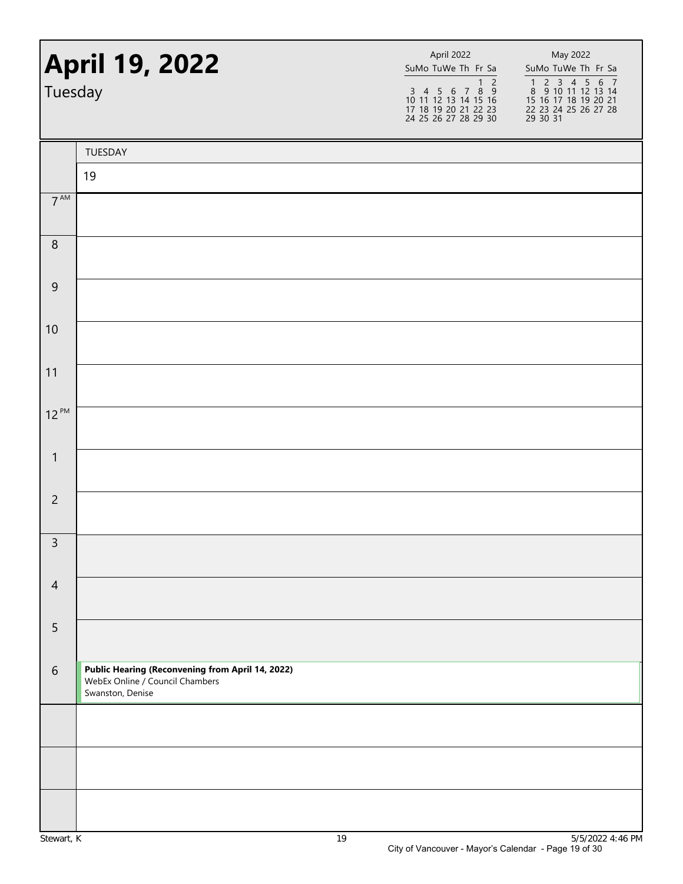| Tuesday          | <b>April 19, 2022</b>                                                                                   | April 2022<br>SuMo TuWe Th Fr Sa<br>$\overline{2}$<br>$\mathbf{1}$<br>3 4 5 6 7 8 9<br>10 11 12 13 14 15 16<br>17 18 19 20 21 22 23<br>24 25 26 27 28 29 30 | May 2022<br>SuMo TuWe Th Fr Sa<br>1 2 3 4 5 6 7<br>8 9 10 11 12 13 14<br>15 16 17 18 19 20 21<br>22 23 24 25 26 27 28<br>29 30 31 |
|------------------|---------------------------------------------------------------------------------------------------------|-------------------------------------------------------------------------------------------------------------------------------------------------------------|-----------------------------------------------------------------------------------------------------------------------------------|
|                  | TUESDAY                                                                                                 |                                                                                                                                                             |                                                                                                                                   |
|                  | 19                                                                                                      |                                                                                                                                                             |                                                                                                                                   |
| $7^{\text{AM}}$  |                                                                                                         |                                                                                                                                                             |                                                                                                                                   |
| $\, 8$           |                                                                                                         |                                                                                                                                                             |                                                                                                                                   |
| $\boldsymbol{9}$ |                                                                                                         |                                                                                                                                                             |                                                                                                                                   |
| 10               |                                                                                                         |                                                                                                                                                             |                                                                                                                                   |
| 11               |                                                                                                         |                                                                                                                                                             |                                                                                                                                   |
| $12^{PM}$        |                                                                                                         |                                                                                                                                                             |                                                                                                                                   |
| $\mathbf{1}$     |                                                                                                         |                                                                                                                                                             |                                                                                                                                   |
| $\overline{2}$   |                                                                                                         |                                                                                                                                                             |                                                                                                                                   |
| $\overline{3}$   |                                                                                                         |                                                                                                                                                             |                                                                                                                                   |
| $\overline{4}$   |                                                                                                         |                                                                                                                                                             |                                                                                                                                   |
| 5                |                                                                                                         |                                                                                                                                                             |                                                                                                                                   |
| $\sqrt{6}$       | Public Hearing (Reconvening from April 14, 2022)<br>WebEx Online / Council Chambers<br>Swanston, Denise |                                                                                                                                                             |                                                                                                                                   |
|                  |                                                                                                         |                                                                                                                                                             |                                                                                                                                   |
|                  |                                                                                                         |                                                                                                                                                             |                                                                                                                                   |
|                  |                                                                                                         |                                                                                                                                                             |                                                                                                                                   |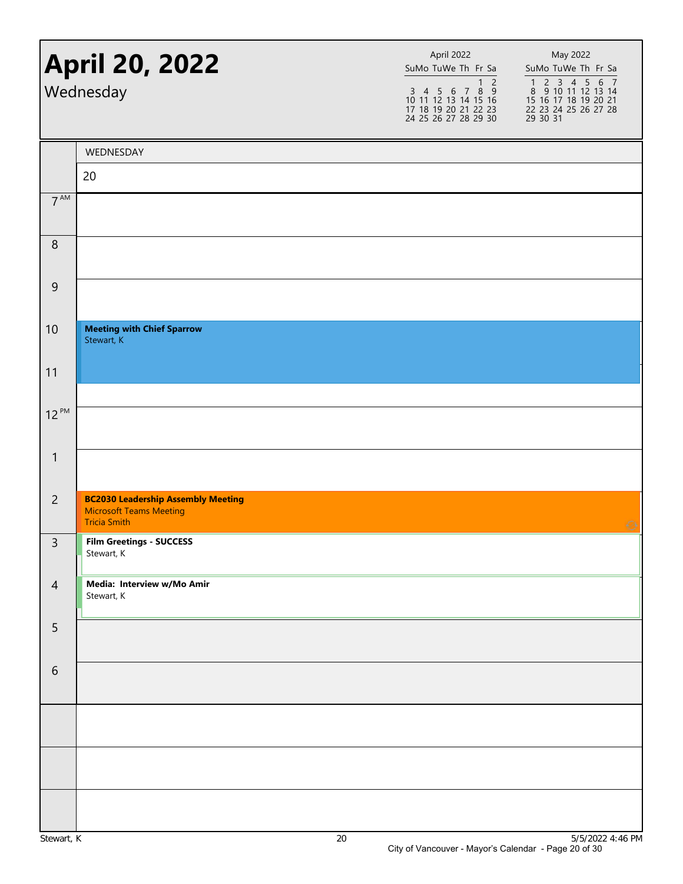|                 | <b>April 20, 2022</b><br>Wednesday                                                                 | April 2022<br>SuMo TuWe Th Fr Sa<br>$1\overline{2}$<br>$\begin{array}{cccccc}\n3 & 4 & 5 & 6 & 7 & 8 & 9 \\ 10 & 11 & 12 & 13 & 14 & 15 & 16\n\end{array}$<br>17 18 19 20 21 22 23<br>24 25 26 27 28 29 30 | May 2022<br>SuMo TuWe Th Fr Sa<br>1 2 3 4 5 6 7<br>8 9 10 11 12 13 14<br>15 16 17 18 19 20 21<br>22 23 24 25 26 27 28<br>29 30 31 |
|-----------------|----------------------------------------------------------------------------------------------------|------------------------------------------------------------------------------------------------------------------------------------------------------------------------------------------------------------|-----------------------------------------------------------------------------------------------------------------------------------|
|                 | WEDNESDAY                                                                                          |                                                                                                                                                                                                            |                                                                                                                                   |
|                 | 20                                                                                                 |                                                                                                                                                                                                            |                                                                                                                                   |
| $7^{\text{AM}}$ |                                                                                                    |                                                                                                                                                                                                            |                                                                                                                                   |
| 8               |                                                                                                    |                                                                                                                                                                                                            |                                                                                                                                   |
| 9               |                                                                                                    |                                                                                                                                                                                                            |                                                                                                                                   |
| 10              | <b>Meeting with Chief Sparrow</b><br>Stewart, K                                                    |                                                                                                                                                                                                            |                                                                                                                                   |
| 11              |                                                                                                    |                                                                                                                                                                                                            |                                                                                                                                   |
| $12^{PM}$       |                                                                                                    |                                                                                                                                                                                                            |                                                                                                                                   |
| $\mathbf{1}$    |                                                                                                    |                                                                                                                                                                                                            |                                                                                                                                   |
| $\overline{2}$  | <b>BC2030 Leadership Assembly Meeting</b><br><b>Microsoft Teams Meeting</b><br><b>Tricia Smith</b> |                                                                                                                                                                                                            | Ø                                                                                                                                 |
| 3               | <b>Film Greetings - SUCCESS</b><br>Stewart, K                                                      |                                                                                                                                                                                                            |                                                                                                                                   |
| $\overline{4}$  | Media: Interview w/Mo Amir<br>Stewart, K                                                           |                                                                                                                                                                                                            |                                                                                                                                   |
| 5               |                                                                                                    |                                                                                                                                                                                                            |                                                                                                                                   |
| 6               |                                                                                                    |                                                                                                                                                                                                            |                                                                                                                                   |
|                 |                                                                                                    |                                                                                                                                                                                                            |                                                                                                                                   |
|                 |                                                                                                    |                                                                                                                                                                                                            |                                                                                                                                   |
|                 |                                                                                                    |                                                                                                                                                                                                            |                                                                                                                                   |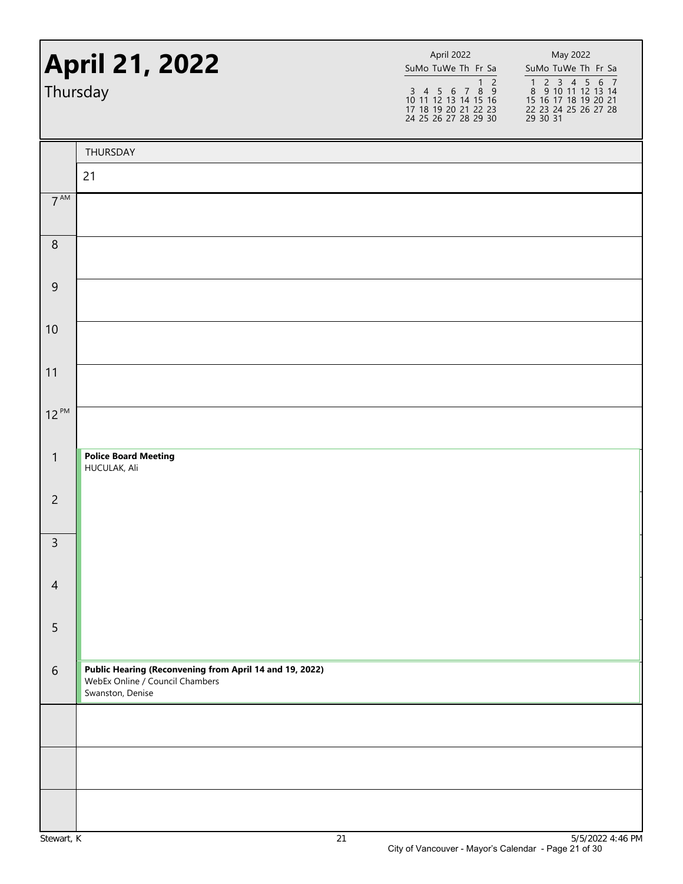| Thursday         | <b>April 21, 2022</b>                                                                                          | April 2022<br>SuMo TuWe Th Fr Sa<br>1 <sub>2</sub><br>$\begin{array}{cccccc}\n3 & 4 & 5 & 6 & 7 & 8 & 9 \\ 10 & 11 & 12 & 13 & 14 & 15 & 16\n\end{array}$<br>17 18 19 20 21 22 23<br>24 25 26 27 28 29 30 | May 2022<br>SuMo TuWe Th Fr Sa<br>1 2 3 4 5 6 7<br>8 9 10 11 12 13 14<br>15 16 17 18 19 20 21<br>22 23 24 25 26 27 28<br>29 30 31 |
|------------------|----------------------------------------------------------------------------------------------------------------|-----------------------------------------------------------------------------------------------------------------------------------------------------------------------------------------------------------|-----------------------------------------------------------------------------------------------------------------------------------|
|                  | THURSDAY                                                                                                       |                                                                                                                                                                                                           |                                                                                                                                   |
|                  | 21                                                                                                             |                                                                                                                                                                                                           |                                                                                                                                   |
| $7^{\text{AM}}$  |                                                                                                                |                                                                                                                                                                                                           |                                                                                                                                   |
| $\, 8$           |                                                                                                                |                                                                                                                                                                                                           |                                                                                                                                   |
| $\boldsymbol{9}$ |                                                                                                                |                                                                                                                                                                                                           |                                                                                                                                   |
| 10               |                                                                                                                |                                                                                                                                                                                                           |                                                                                                                                   |
| 11               |                                                                                                                |                                                                                                                                                                                                           |                                                                                                                                   |
| $12^{PM}$        |                                                                                                                |                                                                                                                                                                                                           |                                                                                                                                   |
| $\mathbf{1}$     | <b>Police Board Meeting</b><br>HUCULAK, Ali                                                                    |                                                                                                                                                                                                           |                                                                                                                                   |
| $\overline{c}$   |                                                                                                                |                                                                                                                                                                                                           |                                                                                                                                   |
| $\mathsf{3}$     |                                                                                                                |                                                                                                                                                                                                           |                                                                                                                                   |
| $\overline{4}$   |                                                                                                                |                                                                                                                                                                                                           |                                                                                                                                   |
| 5                |                                                                                                                |                                                                                                                                                                                                           |                                                                                                                                   |
| $6\,$            | Public Hearing (Reconvening from April 14 and 19, 2022)<br>WebEx Online / Council Chambers<br>Swanston, Denise |                                                                                                                                                                                                           |                                                                                                                                   |
|                  |                                                                                                                |                                                                                                                                                                                                           |                                                                                                                                   |
|                  |                                                                                                                |                                                                                                                                                                                                           |                                                                                                                                   |
|                  |                                                                                                                |                                                                                                                                                                                                           |                                                                                                                                   |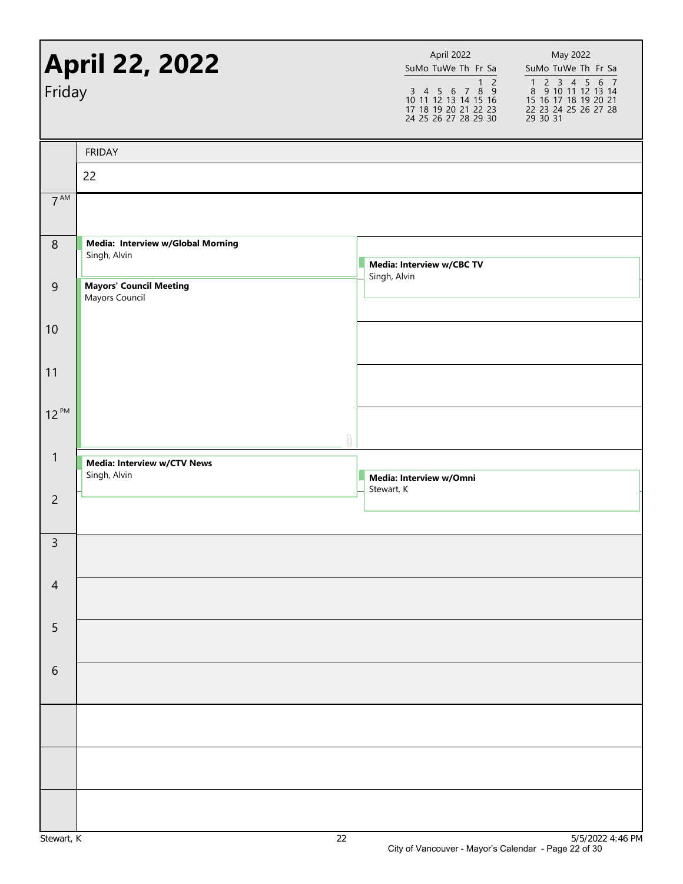| Friday          | <b>April 22, 2022</b>                             | April 2022<br>SuMo TuWe Th Fr Sa<br>$\begin{array}{cccccc}\n3 & 4 & 5 & 6 & 7 & 8 & 9 \\ 10 & 11 & 12 & 13 & 14 & 15 & 16\n\end{array}$<br>17 18 19 20 21 22 23<br>24 25 26 27 28 29 30 | $\overline{1}$ 2 | May 2022<br>SuMo TuWe Th Fr Sa<br>1 2 3 4 5 6 7<br>8 9 10 11 12 13 14<br>15 16 17 18 19 20 21<br>22 23 24 25 26 27 28<br>29 30 31 |
|-----------------|---------------------------------------------------|-----------------------------------------------------------------------------------------------------------------------------------------------------------------------------------------|------------------|-----------------------------------------------------------------------------------------------------------------------------------|
|                 | <b>FRIDAY</b>                                     |                                                                                                                                                                                         |                  |                                                                                                                                   |
|                 | 22                                                |                                                                                                                                                                                         |                  |                                                                                                                                   |
| $7^{\text{AM}}$ |                                                   |                                                                                                                                                                                         |                  |                                                                                                                                   |
| $\, 8$          | Media: Interview w/Global Morning<br>Singh, Alvin | Media: Interview w/CBC TV                                                                                                                                                               |                  |                                                                                                                                   |
| 9               | <b>Mayors' Council Meeting</b><br>Mayors Council  | Singh, Alvin                                                                                                                                                                            |                  |                                                                                                                                   |
| 10              |                                                   |                                                                                                                                                                                         |                  |                                                                                                                                   |
| 11              |                                                   |                                                                                                                                                                                         |                  |                                                                                                                                   |
| $12^{PM}$       |                                                   |                                                                                                                                                                                         |                  |                                                                                                                                   |
| $\mathbf{1}$    | Media: Interview w/CTV News<br>Singh, Alvin       | Media: Interview w/Omni<br>Stewart, K                                                                                                                                                   |                  |                                                                                                                                   |
| $\overline{2}$  |                                                   |                                                                                                                                                                                         |                  |                                                                                                                                   |
| $\overline{3}$  |                                                   |                                                                                                                                                                                         |                  |                                                                                                                                   |
| $\overline{4}$  |                                                   |                                                                                                                                                                                         |                  |                                                                                                                                   |
| 5               |                                                   |                                                                                                                                                                                         |                  |                                                                                                                                   |
| $\sqrt{6}$      |                                                   |                                                                                                                                                                                         |                  |                                                                                                                                   |
|                 |                                                   |                                                                                                                                                                                         |                  |                                                                                                                                   |
|                 |                                                   |                                                                                                                                                                                         |                  |                                                                                                                                   |
|                 |                                                   |                                                                                                                                                                                         |                  |                                                                                                                                   |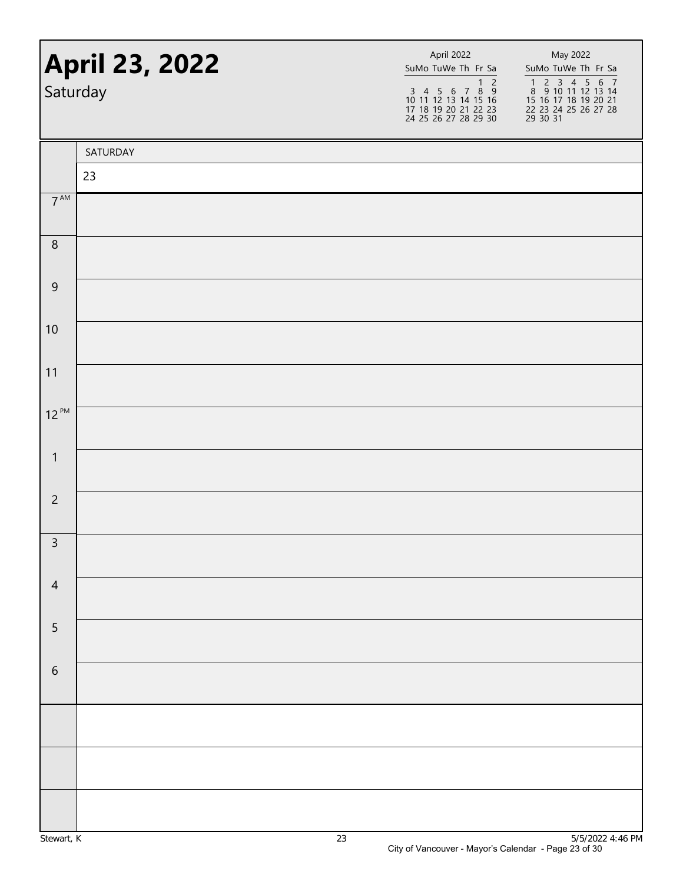|                  | <b>April 23, 2022</b><br>Saturday | April 2022<br>SuMo TuWe Th Fr Sa<br>$\overline{1}$ 2<br>$\begin{array}{cccccc}\n3 & 4 & 5 & 6 & 7 & 8 & 9 \\ 10 & 11 & 12 & 13 & 14 & 15 & 16\n\end{array}$<br>17 18 19 20 21 22 23<br>24 25 26 27 28 29 30 | May 2022<br>SuMo TuWe Th Fr Sa<br>1 2 3 4 5 6 7<br>8 9 10 11 12 13 14<br>15 16 17 18 19 20 21<br>22 23 24 25 26 27 28<br>29 30 31 |
|------------------|-----------------------------------|-------------------------------------------------------------------------------------------------------------------------------------------------------------------------------------------------------------|-----------------------------------------------------------------------------------------------------------------------------------|
|                  | SATURDAY                          |                                                                                                                                                                                                             |                                                                                                                                   |
|                  | 23                                |                                                                                                                                                                                                             |                                                                                                                                   |
| $7^{\text{AM}}$  |                                   |                                                                                                                                                                                                             |                                                                                                                                   |
| $\, 8$           |                                   |                                                                                                                                                                                                             |                                                                                                                                   |
| $\boldsymbol{9}$ |                                   |                                                                                                                                                                                                             |                                                                                                                                   |
| 10               |                                   |                                                                                                                                                                                                             |                                                                                                                                   |
| 11               |                                   |                                                                                                                                                                                                             |                                                                                                                                   |
| $12^{PM}$        |                                   |                                                                                                                                                                                                             |                                                                                                                                   |
| $\mathbf{1}$     |                                   |                                                                                                                                                                                                             |                                                                                                                                   |
| $\overline{c}$   |                                   |                                                                                                                                                                                                             |                                                                                                                                   |
| $\overline{3}$   |                                   |                                                                                                                                                                                                             |                                                                                                                                   |
| $\overline{4}$   |                                   |                                                                                                                                                                                                             |                                                                                                                                   |
| $\overline{5}$   |                                   |                                                                                                                                                                                                             |                                                                                                                                   |
| $\,$ 6 $\,$      |                                   |                                                                                                                                                                                                             |                                                                                                                                   |
|                  |                                   |                                                                                                                                                                                                             |                                                                                                                                   |
|                  |                                   |                                                                                                                                                                                                             |                                                                                                                                   |
|                  |                                   |                                                                                                                                                                                                             |                                                                                                                                   |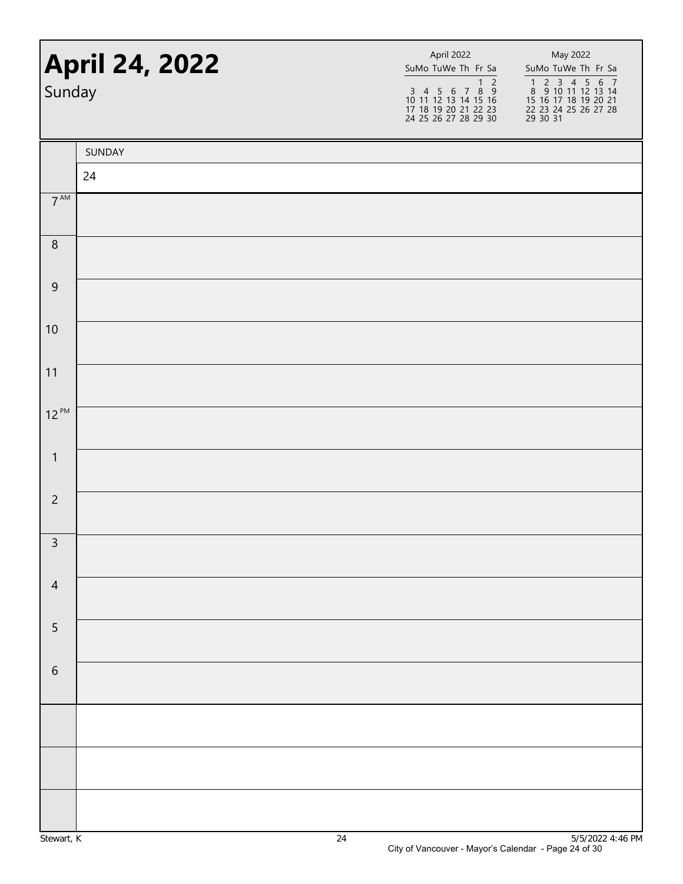|                 | <b>April 24, 2022</b><br>Sunday |  | April 2022<br>SuMo TuWe Th Fr Sa<br>$\overline{2}$<br>$\mathbf{1}$<br>$\begin{array}{cccccc}\n3 & 4 & 5 & 6 & 7 & 8 & 9 \\ 10 & 11 & 12 & 13 & 14 & 15 & 16\n\end{array}$<br>17 18 19 20 21 22 23<br>24 25 26 27 28 29 30 | May 2022<br>SuMo TuWe Th Fr Sa<br>1 2 3 4 5 6 7<br>8 9 10 11 12 13 14<br>15 16 17 18 19 20 21<br>22 23 24 25 26 27 28<br>29 30 31 |  |
|-----------------|---------------------------------|--|---------------------------------------------------------------------------------------------------------------------------------------------------------------------------------------------------------------------------|-----------------------------------------------------------------------------------------------------------------------------------|--|
|                 | SUNDAY                          |  |                                                                                                                                                                                                                           |                                                                                                                                   |  |
|                 | 24                              |  |                                                                                                                                                                                                                           |                                                                                                                                   |  |
| $7^{\text{AM}}$ |                                 |  |                                                                                                                                                                                                                           |                                                                                                                                   |  |
| $\, 8$          |                                 |  |                                                                                                                                                                                                                           |                                                                                                                                   |  |
| $\mathsf 9$     |                                 |  |                                                                                                                                                                                                                           |                                                                                                                                   |  |
| 10              |                                 |  |                                                                                                                                                                                                                           |                                                                                                                                   |  |
| 11              |                                 |  |                                                                                                                                                                                                                           |                                                                                                                                   |  |
| $12^{PM}$       |                                 |  |                                                                                                                                                                                                                           |                                                                                                                                   |  |
| $\mathbf{1}$    |                                 |  |                                                                                                                                                                                                                           |                                                                                                                                   |  |
| $\overline{c}$  |                                 |  |                                                                                                                                                                                                                           |                                                                                                                                   |  |
| $\overline{3}$  |                                 |  |                                                                                                                                                                                                                           |                                                                                                                                   |  |
| $\sqrt{4}$      |                                 |  |                                                                                                                                                                                                                           |                                                                                                                                   |  |
| $\overline{5}$  |                                 |  |                                                                                                                                                                                                                           |                                                                                                                                   |  |
| $\sqrt{6}$      |                                 |  |                                                                                                                                                                                                                           |                                                                                                                                   |  |
|                 |                                 |  |                                                                                                                                                                                                                           |                                                                                                                                   |  |
|                 |                                 |  |                                                                                                                                                                                                                           |                                                                                                                                   |  |
|                 |                                 |  |                                                                                                                                                                                                                           |                                                                                                                                   |  |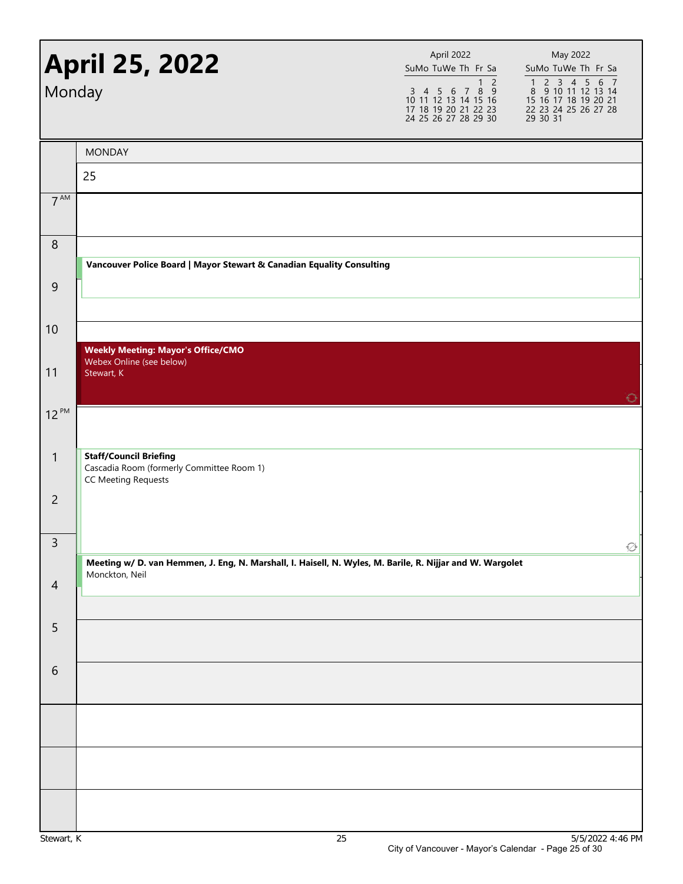| Monday         | <b>April 25, 2022</b>                                                                                     | April 2022<br>SuMo TuWe Th Fr Sa<br>$\overline{2}$<br>$\mathbf{1}$<br>$\begin{array}{cccccc}\n3 & 4 & 5 & 6 & 7 & 8 & 9 \\ 10 & 11 & 12 & 13 & 14 & 15 & 16\n\end{array}$<br>17 18 19 20 21 22 23<br>24 25 26 27 28 29 30 | May 2022<br>SuMo TuWe Th Fr Sa<br>1 2 3 4 5 6 7<br>8 9 10 11 12 13 14<br>15 16 17 18 19 20 21<br>22 23 24 25 26 27 28<br>29 30 31 |
|----------------|-----------------------------------------------------------------------------------------------------------|---------------------------------------------------------------------------------------------------------------------------------------------------------------------------------------------------------------------------|-----------------------------------------------------------------------------------------------------------------------------------|
|                | <b>MONDAY</b>                                                                                             |                                                                                                                                                                                                                           |                                                                                                                                   |
|                | 25                                                                                                        |                                                                                                                                                                                                                           |                                                                                                                                   |
| $7^{AM}$       |                                                                                                           |                                                                                                                                                                                                                           |                                                                                                                                   |
| $\,8\,$        |                                                                                                           |                                                                                                                                                                                                                           |                                                                                                                                   |
|                | Vancouver Police Board   Mayor Stewart & Canadian Equality Consulting                                     |                                                                                                                                                                                                                           |                                                                                                                                   |
| $\overline{9}$ |                                                                                                           |                                                                                                                                                                                                                           |                                                                                                                                   |
| 10             |                                                                                                           |                                                                                                                                                                                                                           |                                                                                                                                   |
| 11             | <b>Weekly Meeting: Mayor's Office/CMO</b><br>Webex Online (see below)<br>Stewart, K                       |                                                                                                                                                                                                                           |                                                                                                                                   |
| $12^{PM}$      |                                                                                                           |                                                                                                                                                                                                                           | ⊖                                                                                                                                 |
| $\mathbf{1}$   | <b>Staff/Council Briefing</b><br>Cascadia Room (formerly Committee Room 1)<br><b>CC Meeting Requests</b>  |                                                                                                                                                                                                                           |                                                                                                                                   |
| $\overline{c}$ |                                                                                                           |                                                                                                                                                                                                                           |                                                                                                                                   |
| 3              | Meeting w/ D. van Hemmen, J. Eng, N. Marshall, I. Haisell, N. Wyles, M. Barile, R. Nijjar and W. Wargolet |                                                                                                                                                                                                                           | ∙                                                                                                                                 |
| $\overline{4}$ | Monckton, Neil                                                                                            |                                                                                                                                                                                                                           |                                                                                                                                   |
| 5              |                                                                                                           |                                                                                                                                                                                                                           |                                                                                                                                   |
| $\sqrt{6}$     |                                                                                                           |                                                                                                                                                                                                                           |                                                                                                                                   |
|                |                                                                                                           |                                                                                                                                                                                                                           |                                                                                                                                   |
|                |                                                                                                           |                                                                                                                                                                                                                           |                                                                                                                                   |
|                |                                                                                                           |                                                                                                                                                                                                                           |                                                                                                                                   |
|                |                                                                                                           |                                                                                                                                                                                                                           |                                                                                                                                   |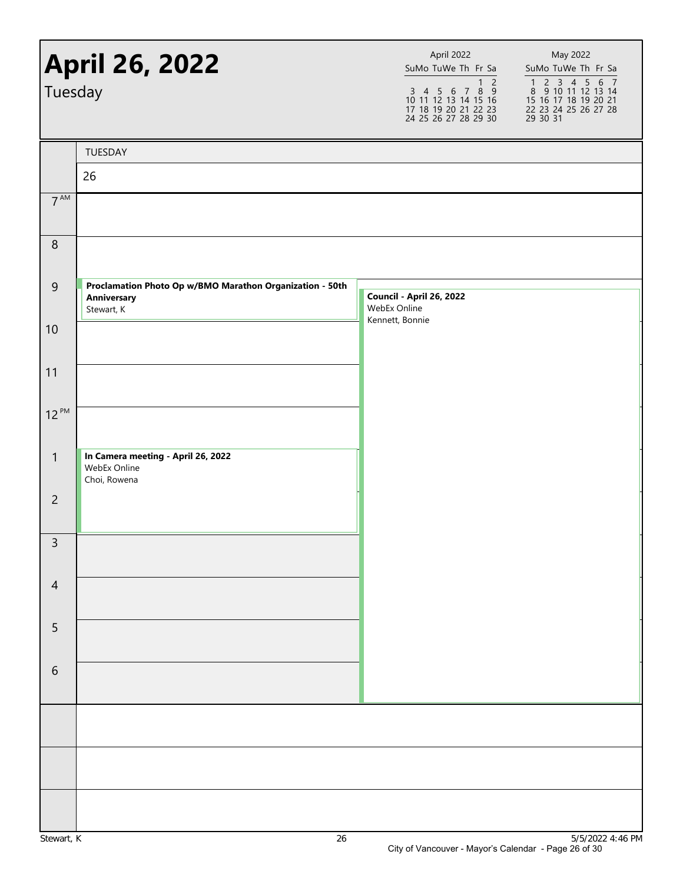| <b>April 26, 2022</b><br>Tuesday |                                                                                       | April 2022<br>SuMo TuWe Th Fr Sa<br>1 <sub>2</sub><br>$\begin{array}{cccccc}\n3 & 4 & 5 & 6 & 7 & 8 & 9 \\ 10 & 11 & 12 & 13 & 14 & 15 & 16\n\end{array}$<br>17 18 19 20 21 22 23<br>24 25 26 27 28 29 30 | May 2022<br>SuMo TuWe Th Fr Sa<br>1 2 3 4 5 6 7<br>8 9 10 11 12 13 14<br>15 16 17 18 19 20 21<br>22 23 24 25 26 27 28<br>29 30 31 |
|----------------------------------|---------------------------------------------------------------------------------------|-----------------------------------------------------------------------------------------------------------------------------------------------------------------------------------------------------------|-----------------------------------------------------------------------------------------------------------------------------------|
|                                  | TUESDAY                                                                               |                                                                                                                                                                                                           |                                                                                                                                   |
|                                  | 26                                                                                    |                                                                                                                                                                                                           |                                                                                                                                   |
| 7 <sup>AM</sup>                  |                                                                                       |                                                                                                                                                                                                           |                                                                                                                                   |
| $\,8\,$                          |                                                                                       |                                                                                                                                                                                                           |                                                                                                                                   |
| $\overline{9}$                   | Proclamation Photo Op w/BMO Marathon Organization - 50th<br>Anniversary<br>Stewart, K | <b>Council - April 26, 2022</b><br>WebEx Online<br>Kennett, Bonnie                                                                                                                                        |                                                                                                                                   |
| 10                               |                                                                                       |                                                                                                                                                                                                           |                                                                                                                                   |
| 11                               |                                                                                       |                                                                                                                                                                                                           |                                                                                                                                   |
| $12^{PM}$                        |                                                                                       |                                                                                                                                                                                                           |                                                                                                                                   |
| $\mathbf{1}$                     | In Camera meeting - April 26, 2022<br>WebEx Online<br>Choi, Rowena                    |                                                                                                                                                                                                           |                                                                                                                                   |
| $\overline{c}$                   |                                                                                       |                                                                                                                                                                                                           |                                                                                                                                   |
| 3                                |                                                                                       |                                                                                                                                                                                                           |                                                                                                                                   |
| $\overline{4}$                   |                                                                                       |                                                                                                                                                                                                           |                                                                                                                                   |
| 5                                |                                                                                       |                                                                                                                                                                                                           |                                                                                                                                   |
| $\sqrt{6}$                       |                                                                                       |                                                                                                                                                                                                           |                                                                                                                                   |
|                                  |                                                                                       |                                                                                                                                                                                                           |                                                                                                                                   |
|                                  |                                                                                       |                                                                                                                                                                                                           |                                                                                                                                   |
|                                  |                                                                                       |                                                                                                                                                                                                           |                                                                                                                                   |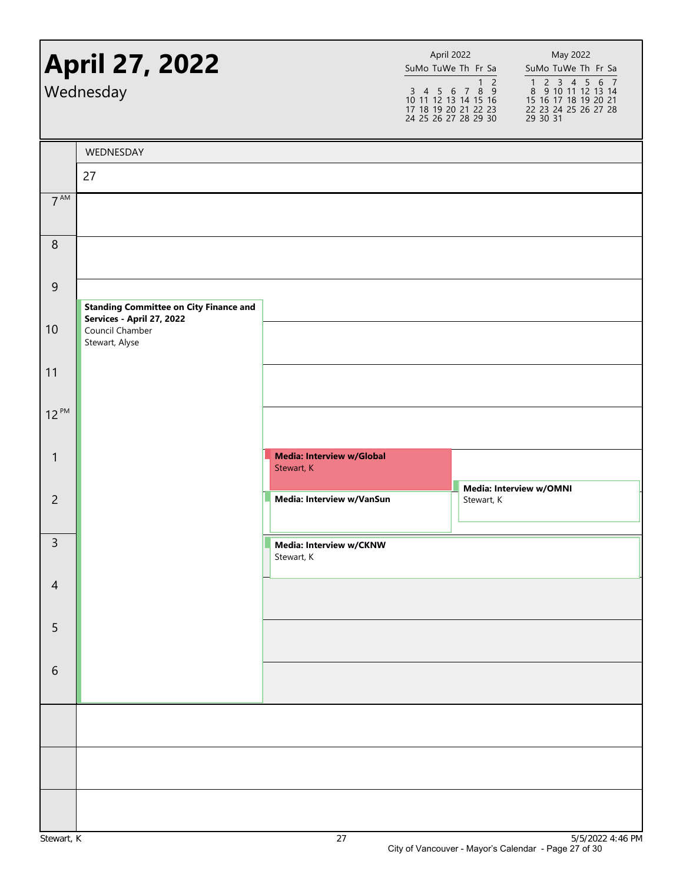|                  | <b>April 27, 2022</b><br>Wednesday                             |                                                | April 2022<br>SuMo TuWe Th Fr Sa<br>$\begin{array}{cccccc}\n3 & 4 & 5 & 6 & 7 & 8 & 9 \\ 10 & 11 & 12 & 13 & 14 & 15 & 16\n\end{array}$<br>17 18 19 20 21 22 23<br>24 25 26 27 28 29 30 | $\overline{1}$ 2 | May 2022<br>SuMo TuWe Th Fr Sa<br>1 2 3 4 5 6 7<br>8 9 10 11 12 13 14<br>15 16 17 18 19 20 21<br>22 23 24 25 26 27 28<br>29 30 31 |
|------------------|----------------------------------------------------------------|------------------------------------------------|-----------------------------------------------------------------------------------------------------------------------------------------------------------------------------------------|------------------|-----------------------------------------------------------------------------------------------------------------------------------|
|                  | WEDNESDAY                                                      |                                                |                                                                                                                                                                                         |                  |                                                                                                                                   |
|                  | 27                                                             |                                                |                                                                                                                                                                                         |                  |                                                                                                                                   |
| $7^{\text{AM}}$  |                                                                |                                                |                                                                                                                                                                                         |                  |                                                                                                                                   |
| $\boldsymbol{8}$ |                                                                |                                                |                                                                                                                                                                                         |                  |                                                                                                                                   |
| $\mathsf 9$      |                                                                |                                                |                                                                                                                                                                                         |                  |                                                                                                                                   |
|                  | <b>Standing Committee on City Finance and</b>                  |                                                |                                                                                                                                                                                         |                  |                                                                                                                                   |
| 10               | Services - April 27, 2022<br>Council Chamber<br>Stewart, Alyse |                                                |                                                                                                                                                                                         |                  |                                                                                                                                   |
| 11               |                                                                |                                                |                                                                                                                                                                                         |                  |                                                                                                                                   |
| $12^{PM}$        |                                                                |                                                |                                                                                                                                                                                         |                  |                                                                                                                                   |
| $\mathbf{1}$     |                                                                | <b>Media: Interview w/Global</b><br>Stewart, K |                                                                                                                                                                                         |                  | Media: Interview w/OMNI                                                                                                           |
| $\overline{c}$   |                                                                | Media: Interview w/VanSun                      |                                                                                                                                                                                         | Stewart, K       |                                                                                                                                   |
| $\overline{3}$   |                                                                | Media: Interview w/CKNW<br>Stewart, K          |                                                                                                                                                                                         |                  |                                                                                                                                   |
| $\overline{4}$   |                                                                |                                                |                                                                                                                                                                                         |                  |                                                                                                                                   |
| 5                |                                                                |                                                |                                                                                                                                                                                         |                  |                                                                                                                                   |
| 6                |                                                                |                                                |                                                                                                                                                                                         |                  |                                                                                                                                   |
|                  |                                                                |                                                |                                                                                                                                                                                         |                  |                                                                                                                                   |
|                  |                                                                |                                                |                                                                                                                                                                                         |                  |                                                                                                                                   |
|                  |                                                                |                                                |                                                                                                                                                                                         |                  |                                                                                                                                   |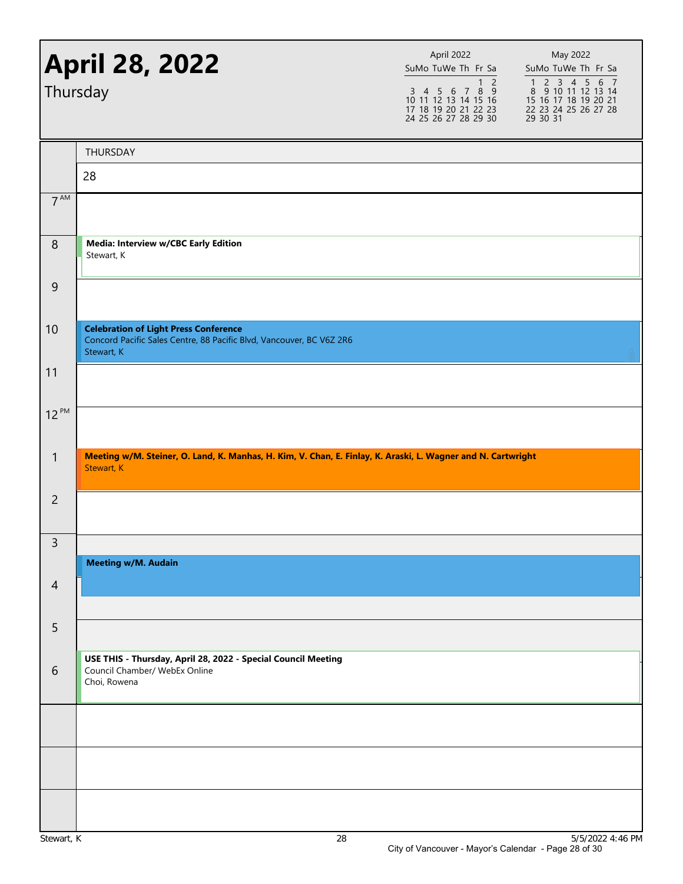| <b>April 28, 2022</b><br>Thursday |                                                                                                                                    | April 2022<br>SuMo TuWe Th Fr Sa<br>$\overline{2}$<br>1<br>3 4 5 6 7 8 9<br>10 11 12 13 14 15 16<br>17 18 19 20 21 22 23<br>24 25 26 27 28 29 30 | May 2022<br>SuMo TuWe Th Fr Sa<br>1 2 3 4 5 6 7<br>8 9 10 11 12 13 14<br>15 16 17 18 19 20 21<br>22 23 24 25 26 27 28<br>29 30 31 |
|-----------------------------------|------------------------------------------------------------------------------------------------------------------------------------|--------------------------------------------------------------------------------------------------------------------------------------------------|-----------------------------------------------------------------------------------------------------------------------------------|
|                                   | THURSDAY                                                                                                                           |                                                                                                                                                  |                                                                                                                                   |
|                                   | 28                                                                                                                                 |                                                                                                                                                  |                                                                                                                                   |
| 7 <sup>AM</sup>                   |                                                                                                                                    |                                                                                                                                                  |                                                                                                                                   |
| 8                                 | Media: Interview w/CBC Early Edition<br>Stewart, K                                                                                 |                                                                                                                                                  |                                                                                                                                   |
| 9                                 |                                                                                                                                    |                                                                                                                                                  |                                                                                                                                   |
| 10                                | <b>Celebration of Light Press Conference</b><br>Concord Pacific Sales Centre, 88 Pacific Blvd, Vancouver, BC V6Z 2R6<br>Stewart, K |                                                                                                                                                  |                                                                                                                                   |
| 11                                |                                                                                                                                    |                                                                                                                                                  |                                                                                                                                   |
| $12^{PM}$                         |                                                                                                                                    |                                                                                                                                                  |                                                                                                                                   |
| $\mathbf{1}$                      | Meeting w/M. Steiner, O. Land, K. Manhas, H. Kim, V. Chan, E. Finlay, K. Araski, L. Wagner and N. Cartwright<br>Stewart, K         |                                                                                                                                                  |                                                                                                                                   |
| $\overline{c}$                    |                                                                                                                                    |                                                                                                                                                  |                                                                                                                                   |
| 3                                 |                                                                                                                                    |                                                                                                                                                  |                                                                                                                                   |
| $\overline{4}$                    | <b>Meeting w/M. Audain</b>                                                                                                         |                                                                                                                                                  |                                                                                                                                   |
| 5                                 |                                                                                                                                    |                                                                                                                                                  |                                                                                                                                   |
| 6                                 | USE THIS - Thursday, April 28, 2022 - Special Council Meeting<br>Council Chamber/ WebEx Online<br>Choi, Rowena                     |                                                                                                                                                  |                                                                                                                                   |
|                                   |                                                                                                                                    |                                                                                                                                                  |                                                                                                                                   |
|                                   |                                                                                                                                    |                                                                                                                                                  |                                                                                                                                   |
|                                   |                                                                                                                                    |                                                                                                                                                  |                                                                                                                                   |
|                                   |                                                                                                                                    |                                                                                                                                                  |                                                                                                                                   |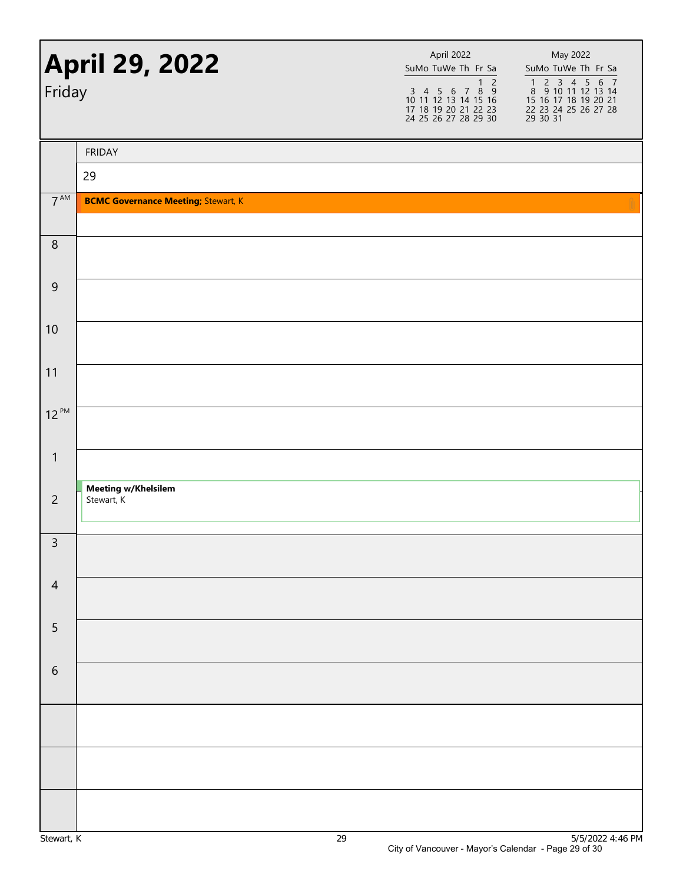| <b>April 29, 2022</b><br>Friday |                                            | April 2022<br>SuMo TuWe Th Fr Sa<br>1 2<br>3 4 5 6 7 8 9<br>10 11 12 13 14 15 16<br>17 18 19 20 21 22 23<br>24 25 26 27 28 29 30 | May 2022<br>SuMo TuWe Th Fr Sa<br>1 2 3 4 5 6 7<br>8 9 10 11 12 13 14<br>15 16 17 18 19 20 21<br>22 23 24 25 26 27 28<br>29 30 31 |
|---------------------------------|--------------------------------------------|----------------------------------------------------------------------------------------------------------------------------------|-----------------------------------------------------------------------------------------------------------------------------------|
|                                 | <b>FRIDAY</b>                              |                                                                                                                                  |                                                                                                                                   |
|                                 | 29                                         |                                                                                                                                  |                                                                                                                                   |
| $7^{\text{AM}}$                 | <b>BCMC Governance Meeting; Stewart, K</b> |                                                                                                                                  |                                                                                                                                   |
| $\, 8$                          |                                            |                                                                                                                                  |                                                                                                                                   |
| $9$                             |                                            |                                                                                                                                  |                                                                                                                                   |
| 10                              |                                            |                                                                                                                                  |                                                                                                                                   |
| 11                              |                                            |                                                                                                                                  |                                                                                                                                   |
| $12^{PM}$                       |                                            |                                                                                                                                  |                                                                                                                                   |
| $\mathbf{1}$                    |                                            |                                                                                                                                  |                                                                                                                                   |
| $\overline{2}$                  | <b>Meeting w/Khelsilem</b><br>Stewart, K   |                                                                                                                                  |                                                                                                                                   |
| $\mathbf{R}$                    |                                            |                                                                                                                                  |                                                                                                                                   |
| $\overline{4}$                  |                                            |                                                                                                                                  |                                                                                                                                   |
| 5                               |                                            |                                                                                                                                  |                                                                                                                                   |
| $\sqrt{6}$                      |                                            |                                                                                                                                  |                                                                                                                                   |
|                                 |                                            |                                                                                                                                  |                                                                                                                                   |
|                                 |                                            |                                                                                                                                  |                                                                                                                                   |
|                                 |                                            |                                                                                                                                  |                                                                                                                                   |